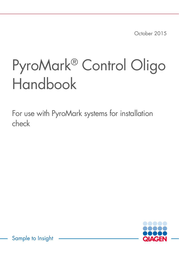October 2015

# PyroMark® Control Oligo Handbook

For use with PyroMark systems for installation check



Sample to Insight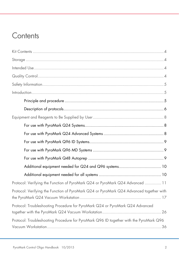### **Contents**

| Protocol: Verifying the Function of PyroMark Q24 or PyroMark Q24 Advanced  11           |
|-----------------------------------------------------------------------------------------|
| Protocol: Verifying the Function of PyroMark Q24 or PyroMark Q24 Advanced together with |
| Protocol: Troubleshooting Procedure for PyroMark Q24 or PyroMark Q24 Advanced           |
| Protocol: Troubleshooting Procedure for PyroMark Q96 ID together with the PyroMark Q96  |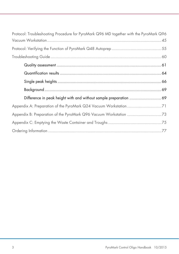| Protocol: Troubleshooting Procedure for PyroMark Q96 MD together with the PyroMark Q96 |
|----------------------------------------------------------------------------------------|
|                                                                                        |
|                                                                                        |
|                                                                                        |
|                                                                                        |
|                                                                                        |
|                                                                                        |
|                                                                                        |
|                                                                                        |
| Appendix A: Preparation of the PyroMark Q24 Vacuum Workstation71                       |
|                                                                                        |
|                                                                                        |
|                                                                                        |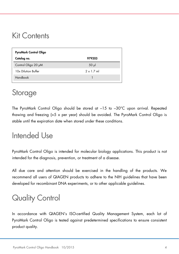### <span id="page-3-0"></span>Kit Contents

| PyroMark Control Oligo |                   |  |  |  |  |  |
|------------------------|-------------------|--|--|--|--|--|
| Catalog no.            | 979203            |  |  |  |  |  |
| Control Oligo 20 µM    | $50$ $\mu$        |  |  |  |  |  |
| 10x Dilution Buffer    | $2 \times 1$ 7 ml |  |  |  |  |  |
| Handbook               |                   |  |  |  |  |  |

### <span id="page-3-1"></span>Storage

The PyroMark Control Oligo should be stored at –15 to –30°C upon arrival. Repeated thawing and freezing (>5 x per year) should be avoided. The PyroMark Control Oligo is stable until the expiration date when stored under these conditions.

### <span id="page-3-2"></span>Intended Use

PyroMark Control Oligo is intended for molecular biology applications. This product is not intended for the diagnosis, prevention, or treatment of a disease.

All due care and attention should be exercised in the handling of the products. We recommend all users of QIAGEN products to adhere to the NIH guidelines that have been developed for recombinant DNA experiments, or to other applicable guidelines.

## <span id="page-3-3"></span>Quality Control

In accordance with QIAGEN's ISO-certified Quality Management System, each lot of PyroMark Control Oligo is tested against predetermined specifications to ensure consistent product quality.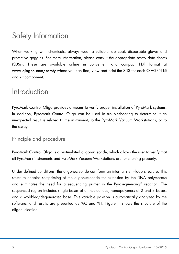### <span id="page-4-0"></span>Safety Information

When working with chemicals, always wear a suitable lab coat, disposable gloves and protective goggles. For more information, please consult the appropriate safety data sheets (SDSs). These are available online in convenient and compact PDF format at www.qiagen.com/safety where you can find, view and print the SDS for each QIAGEN kit and kit component.

### <span id="page-4-1"></span>**Introduction**

PyroMark Control Oligo provides a means to verify proper installation of PyroMark systems. In addition, PyroMark Control Oligo can be used in troubleshooting to determine if an unexpected result is related to the instrument, to the PyroMark Vacuum Workstations, or to the assay.

### <span id="page-4-2"></span>Principle and procedure

PyroMark Control Oligo is a biotinylated oligonucleotide, which allows the user to verify that all PyroMark instruments and PyroMark Vacuum Workstations are functioning properly.

Under defined conditions, the oligonucleotide can form an internal stem–loop structure. This structure enables self-priming of the oligonucleotide for extension by the DNA polymerase and eliminates the need for a sequencing primer in the Pyrosequencing® reaction. The sequenced region includes single bases of all nucleotides, homopolymers of 2 and 3 bases, and a wobbled/degenerated base. This variable position is automatically analyzed by the software, and results are presented as %C and %T. [Figure 1](#page-5-1) shows the structure of the oligonucleotide.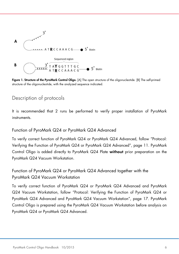

<span id="page-5-1"></span>Figure 1. Structure of the PyroMark Control Oligo. [A] The open structure of the oligonucleotide. [B] The self-primed structure of the oligonucleotide, with the analyzed sequence indicated.

### <span id="page-5-0"></span>Description of protocols

It is recommended that 2 runs be performed to verify proper installation of PyroMark instruments.

#### Function of PyroMark Q24 or PyroMark Q24 Advanced

To verify correct function of PyroMark Q24 or PyroMark Q24 Advanced, follow "Protocol: Verifying the Function of PyroMark Q24 or PyroMark Q24 Advanced", page [11.](#page-10-0) PyroMark Control Oligo is added directly to PyroMark Q24 Plate without prior preparation on the PyroMark Q24 Vacuum Workstation.

### Function of PyroMark Q24 or PyroMark Q24 Advanced together with the PyroMark Q24 Vacuum Workstation

To verify correct function of PyroMark Q24 or PyroMark Q24 Advanced and PyroMark Q24 Vacuum Workstation, follow "Protocol: Verifying the Function of PyroMark Q24 or PyroMark Q24 Advanced and PyroMark Q24 Vacuum Workstation", page [17.](#page-16-0) PyroMark Control Oligo is prepared using the PyroMark Q24 Vacuum Workstation before analysis on PyroMark Q24 or PyroMark Q24 Advanced.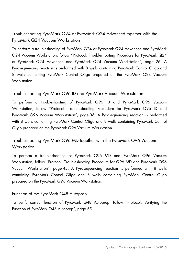Troubleshooting PyroMark Q24 or PyroMark Q24 Advanced together with the PyroMark Q24 Vacuum Workstation

To perform a troubleshooting of PyroMark Q24 or PyroMark Q24 Advanced and PyroMark Q24 Vacuum Workstation, follow ["Protocol: Troubleshooting Procedure](#page-25-0) for PyroMark Q24 or PyroMark Q24 Advanced and PyroMark Q24 Vacuum Workstation", page [26.](#page-25-0) A Pyrosequencing reaction is performed with 8 wells containing PyroMark Control Oligo and 8 wells containing PyroMark Control Oligo prepared on the PyroMark Q24 Vacuum **Workstation** 

#### Troubleshooting PyroMark Q96 ID and PyroMark Vacuum Workstation

To perform a troubleshooting of PyroMark Q96 ID and PyroMark Q96 Vacuum Workstation, follow ["Protocol: Troubleshooting Procedure](#page-25-0) for PyroMark Q96 ID and PyroMark Q96 Vacuum Workstation", page [36.](#page-35-0) A Pyrosequencing reaction is performed with 8 wells containing PyroMark Control Oligo and 8 wells containing PyroMark Control Oligo prepared on the PyroMark Q96 Vacuum Workstation.

### Troubleshooting PyroMark Q96 MD together with the PyroMark Q96 Vacuum **Workstation**

To perform a troubleshooting of PyroMark Q96 MD and PyroMark Q96 Vacuum Workstation, follow ["Protocol: Troubleshooting Procedure](#page-25-0) for Q96 MD and PyroMark Q96 Vacuum Workstation", page [45.](#page-43-0) A Pyrosequencing reaction is performed with 8 wells containing PyroMark Control Oligo and 8 wells containing PyroMark Control Oligo prepared on the PyroMark Q96 Vacuum Workstation.

#### Function of the PyroMark Q48 Autoprep

To verify correct function of PyroMark Q48 Autoprep, follow ["Protocol: Verifying the](#page-54-0)  [Function of PyroMark Q48 Autoprep"](#page-54-0), page [55.](#page-54-0)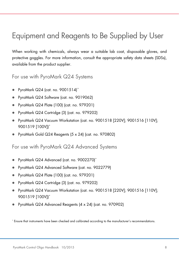## <span id="page-7-0"></span>Equipment and Reagents to Be Supplied by User

When working with chemicals, always wear a suitable lab coat, disposable gloves, and protective goggles. For more information, consult the appropriate safety data sheets (SDSs), available from the product supplier.

<span id="page-7-1"></span>For use with PyroMark Q24 Systems

- PyroMark Q24 (cat. no. 9001514)[\\*](#page-7-3)
- PyroMark Q24 Software (cat. no. 9019062)
- PyroMark Q24 Plate (100) (cat. no. 979201)
- PyroMark Q24 Cartridge (3) (cat. no. 979202)
- PyroMark Q24 Vacuum Workstation (cat. no. 9001518 [220V]; 9001516 [110V]; 9001519 [100V])\*
- PyroMark Gold Q24 Reagents (5 x 24) (cat. no. 970802)

<span id="page-7-2"></span>For use with PyroMark Q24 Advanced Systems

- PyroMark Q24 Advanced (cat. no. 9002270)\*
- PyroMark Q24 Advanced Software (cat. no. 9022779)
- PyroMark Q24 Plate (100) (cat. no. 979201)
- PyroMark Q24 Cartridge (3) (cat. no. 979202)
- PyroMark Q24 Vacuum Workstation (cat. no. 9001518 [220V]; 9001516 [110V]; 9001519 [100V])\*
- PyroMark Q24 Advanced Reagents (4 x 24) (cat. no. 970902)

<span id="page-7-3"></span><sup>\*</sup> Ensure that instruments have been checked and calibrated according to the manufacturer's recommendations.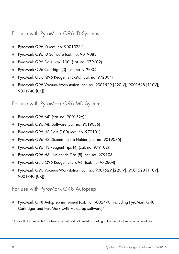<span id="page-8-0"></span>For use with PyroMark Q96 ID Systems

- PyroMark Q96 ID (cat. no. 9001525)[\\*](#page-8-3)
- PyroMark Q96 ID Software (cat. no. 9019083)
- PyroMark Q96 Plate Low (100) (cat. no. 979002)
- PyroMark Q96 Cartridge (3) (cat. no. 979004)
- PyroMark Gold Q96 Reagents (5x96) (cat. no. 972804)
- PyroMark Q96 Vacuum Workstation (cat. no. 9001529 [220 V]; 9001528 [110V]; 9001740 [UK])\*

<span id="page-8-1"></span>For use with PyroMark Q96 MD Systems

- PyroMark Q96 MD (cat. no. 9001526) \*
- PyroMark Q96 MD Software (cat. no. 9019085)
- PyroMark Q96 HS Plate (100) (cat. no. 979101)
- PyroMark Q96 HS Dispensing Tip Holder (cat. no. 9019075)
- PyroMark Q96 HS Reagent Tips (4) (cat. no. 979102)
- PyroMark Q96 HS Nucleotide Tips (8) (cat. no. 979103)
- PyroMark Gold Q96 Reagents (5 x 96) (cat. no. 972804)
- PyroMark Q96 Vacuum Workstation (cat. no. 9001529 [220 V]; 9001528 [110V]; 9001740 [UK])\*

### <span id="page-8-2"></span>For use with PyroMark Q48 Autoprep

 PyroMark Q48 Autoprep instrument (cat. no. 9002470, including PyroMark Q48 Cartridges and PyroMark Q48 Autoprep software)\*

<span id="page-8-3"></span><sup>\*</sup> Ensure that instruments have been checked and calibrated according to the manufacturer's recommendations.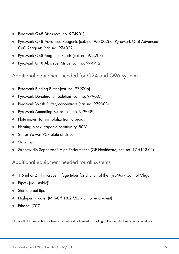- PyroMark Q48 Discs (cat. no. 974901)
- PyroMark Q48 Advanced Reagents (cat. no. 974002) or PyroMark Q48 Advanced CpG Reagents (cat. no. 974022)
- PyroMark Q48 Magnetic Beads (cat. no. 974203)
- PyroMark Q48 Absorber Strips (cat. no. 974912)

<span id="page-9-0"></span>Additional equipment needed for Q24 and Q96 systems

- PyroMark Binding Buffer (cat. no. 979006)
- PyroMark Denaturation Solution (cat. no. 979007)
- PyroMark Wash Buffer, concentrate (cat. no. 979008)
- PyroMark Annealing Buffer (cat. no. 979009)
- Plate mixer<sup>[\\*](#page-9-2)</sup> for immobilization to beads
- Heating block\* capable of attaining 80°C
- 24- or 96-well PCR plate or strips
- Strip caps
- Streptavidin Sepharose® High Performance (GE Healthcare, cat. no. 17-5113-01)

<span id="page-9-1"></span>Additional equipment needed for all systems

- 1.5 ml or 2 ml microcentrifuge tubes for dilution of the PyroMark Control Oligo
- Pipets (adjustable)\*
- Sterile pipet tips
- High-purity water (Milli-Q® 18.2 MΩ x cm or equivalent)
- Ethanol (70%)

<span id="page-9-2"></span>\* Ensure that instruments have been checked and calibrated according to the manufacturer's recommendations.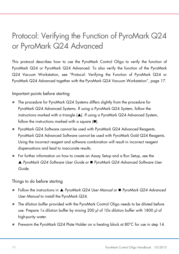# <span id="page-10-0"></span>Protocol: Verifying the Function of PyroMark Q24 or PyroMark Q24 Advanced

This protocol describes how to use the PyroMark Control Oligo to verify the function of PyroMark Q24 or PyroMark Q24 Advanced. To also verify the function of the PyroMark Q24 Vacuum Workstation, see ["Protocol: Verifying the Function of PyroMark Q24 or](#page-16-0)  [PyroMark Q24 Advanced together with the PyroMark Q24 Vacuum Workstation"](#page-16-0), page [17.](#page-16-0)

#### Important points before starting

- The procedure for PyroMark Q24 Systems differs slightly from the procedure for PyroMark Q24 Advanced Systems. If using a PyroMark Q24 System, follow the instructions marked with a triangle  $(A)$ . If using a PyroMark Q24 Advanced System, follow the instructions marked with a square  $(\blacksquare)$ .
- PyroMark Q24 Software cannot be used with PyroMark Q24 Advanced Reagents. PyroMark Q24 Advanced Software cannot be used with PyroMark Gold Q24 Reagents. Using the incorrect reagent and software combination will result in incorrect reagent dispensations and lead to inaccurate results.
- For further information on how to create an Assay Setup and a Run Setup, see the *PyroMark Q24 Software User Guide* or *PyroMark Q24 Advanced Software User Guide*.

#### <span id="page-10-1"></span>Things to do before starting

- Follow the instructions in *PyroMark Q24 User Manual* or *PyroMark Q24 Advanced User Manual* to install the PyroMark Q24.
- The dilution buffer provided with the PyroMark Control Oligo needs to be diluted before use. Prepare 1x dilution buffer by mixing 200 µl of 10x dilution buffer with 1800 µl of high-purity water.
- Prewarm the PyroMark Q24 Plate Holder on a heating block at 80°C for use in step [14.](#page-13-0)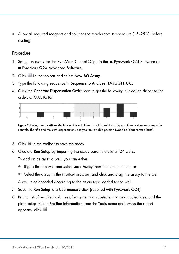Allow all required reagents and solutions to reach room temperature (15–25°C) before starting.

#### Procedure

- 1. Set up an assay for the PyroMark Control Oligo in the ▲ PyroMark Q24 Software or PyroMark Q24 Advanced Software.
- 2. Click in the toolbar and select **New AQ Assay.**
- 3. Type the following sequence in Sequence to Analyze: TAYGGTTTGC.
- 4. Click the Generate Dispensation Order icon to get the following nucleotide dispensation order: CTGACTGTG.



Figure 2. Histogram for AQ mode. Nucleotide additions 1 and 3 are blank dispensations and serve as negative controls. The fifth and the sixth dispensations analyze the variable position (wobbled/degenerated base).

- 5. Click in the toolbar to save the assay.
- 6. Create a Run Setup by importing the assay parameters to all 24 wells.

To add an assay to a well, you can either:

- Right-click the well and select **Load Assay** from the context menu, or
- Select the assay in the shortcut browser, and click and drag the assay to the well.

A well is color-coded according to the assay type loaded to the well.

- 7. Save the **Run Setup** to a USB memory stick (supplied with PyroMark Q24).
- <span id="page-11-0"></span>8. Print a list of required volumes of enzyme mix, substrate mix, and nucleotides, and the plate setup. Select Pre Run Information from the Tools menu and, when the report appears, click  $\blacksquare$ .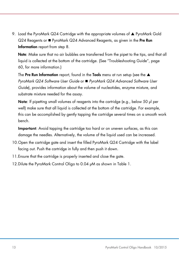9. Load the PyroMark Q24 Cartridge with the appropriate volumes of  $\blacktriangle$  PyroMark Gold  $Q24$  Reagents or **P**yroMark  $Q24$  Advanced Reagents, as given in the Pre Run Information report from step 8.

Note: Make sure that no air bubbles are transferred from the pipet to the tips, and that all liquid is collected at the bottom of the cartridge. (See "Troubleshooting Guide", page [60,](#page-59-0) for more information.)

The Pre Run Information report, found in the Tools menu at run setup (see the  $\blacktriangle$ *PyroMark Q24 Software User Guide* or *PyroMark Q24 Advanced Software User Guide*), provides information about the volume of nucleotides, enzyme mixture, and substrate mixture needed for the assay.

Note: If pipetting small volumes of reagents into the cartridge (e.g., below 50 µl per well) make sure that all liquid is collected at the bottom of the cartridge. For example, this can be accomplished by gently tapping the cartridge several times on a smooth work bench.

Important: Avoid tapping the cartridge too hard or on uneven surfaces, as this can damage the needles. Alternatively, the volume of the liquid used can be increased.

- 10.Open the cartridge gate and insert the filled PyroMark Q24 Cartridge with the label facing out. Push the cartridge in fully and then push it down.
- 11.Ensure that the cartridge is properly inserted and close the gate.
- 12. Dilute the PyroMark Control Oligo to 0.04  $\mu$ M as shown in Table 1.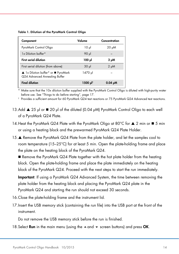Table 1. Dilution of the PyroMark Control Oligo

| Component                                                            | Volume               | Concentration |
|----------------------------------------------------------------------|----------------------|---------------|
| PyroMark Control Oligo                                               | ار 10                | 20 µM         |
| 1x Dilution buffer*                                                  | 90 µl                |               |
| <b>First serial dilution</b>                                         | 100 µl               | 2 μΜ          |
| First serial dilution (from above)                                   | 30 <sub>µ</sub>      | $2 \mu M$     |
| ▲ 1x Dilution buffer* or ■ PyroMark<br>Q24 Advanced Annealing Buffer | 1470 µl              |               |
| <b>Final dilution</b>                                                | 1500 µl <sup>†</sup> | $0.04 \mu M$  |

\* Make sure that the 10x dilution buffer supplied with the PyroMark Control Oligo is diluted with high-purity water before use. See ["Things to do before starting"](#page-10-1), page [17.](#page-16-1)

† Provides a sufficient amount for 60 PyroMark Q24 test reactions or 75 PyroMark Q24 Advanced test reactions.

- 13.Add ▲ 25 µl or 20 µl of the diluted (0.04 µM) PyroMark Control Oligo to each well of a PyroMark Q24 Plate.
- <span id="page-13-0"></span>14. Heat the PyroMark Q24 Plate with the PyroMark Oligo at 80°C for  $\triangle$  2 min or  $\blacksquare$  5 min or using a heating block and the prewarmed PyroMark Q24 Plate Holder.
- 15. Remove the PyroMark Q24 Plate from the plate holder, and let the samples cool to room temperature (15–25°C) for at least 5 min. Open the plate-holding frame and place the plate on the heating block of the PyroMark Q24.

 $\blacksquare$  Remove the PyroMark Q24 Plate together with the hot plate holder from the heating block. Open the plate-holding frame and place the plate immediately on the heating block of the PyroMark Q24. Proceed with the next steps to start the run immediately.

Important: If using a PyroMark Q24 Advanced System, the time between removing the plate holder from the heating block and placing the PyroMark Q24 plate in the PyroMark Q24 and starting the run should not exceed 30 seconds.

- 16.Close the plate-holding frame and the instrument lid.
- 17.Insert the USB memory stick (containing the run file) into the USB port at the front of the instrument.

Do not remove the USB memory stick before the run is finished.

18. Select **Run** in the main menu (using the  $\rightarrow$  and  $\rightarrow$  screen buttons) and press **OK**.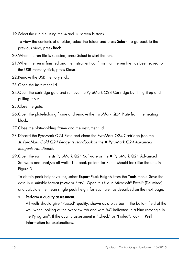19. Select the run file using the  $\triangle$  and  $\blacktriangledown$  screen buttons.

To view the contents of a folder, select the folder and press **Select**. To go back to the previous view, press Back.

- 20. When the run file is selected, press **Select** to start the run.
- 21.When the run is finished and the instrument confirms that the run file has been saved to the USB memory stick, press **Close**.
- 22.Remove the USB memory stick.
- 23.Open the instrument lid.
- 24.Open the cartridge gate and remove the PyroMark Q24 Cartridge by lifting it up and pulling it out.
- 25. Close the gate.
- 26.Open the plate-holding frame and remove the PyroMark Q24 Plate from the heating block.
- 27.Close the plate-holding frame and the instrument lid.
- 28.Discard the PyroMark Q24 Plate and clean the PyroMark Q24 Cartridge (see the *PyroMark Gold Q24 Reagents Handbook* or the *PyroMark Q24 Advanced Reagents Handbook*).
- 29. Open the run in the  $\triangle$  PyroMark Q24 Software or the  $\blacksquare$  PyroMark Q24 Advanced Software and analyze all wells. The peak pattern for Run 1 should look like the one in [Figure 3.](#page-15-0)

To obtain peak height values, select **Export Peak Heights** from the **Tools** menu. Save the data in a suitable format (\*.csv or \*.tsv). Open this file in Microsoft® Excel® (Delimited), and calculate the mean single peak height for each well as described on the next page.

#### Perform a quality assessment.

All wells should give "Passed" quality, shown as a blue bar in the bottom field of the well when looking at the overview tab and with %C indicated in a blue rectangle in the Pyrogram®. If the quality assessment is "Check" or "Failed", look in Well Information for explanations.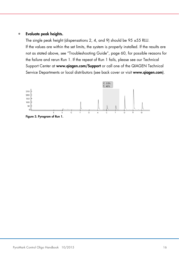#### • Evaluate peak heights.

The single peak height (dispensations 2, 4, and 9) should be 95 ±55 RLU. If the values are within the set limits, the system is properly installed. If the results are not as stated above, see "Troubleshooting Guide", page [60,](#page-59-0) for possible reasons for the failure and rerun Run 1. If the repeat of Run 1 fails, please see our Technical Support Center at www.qiagen.com/Support or call one of the QIAGEN Technical Service Departments or local distributors (see back cover or visit www.qiagen.com).

<span id="page-15-0"></span>

PyroMark Control Oligo Handbook 10/2015 16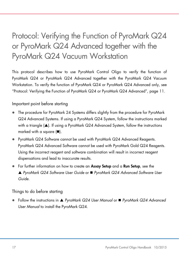# <span id="page-16-0"></span>Protocol: Verifying the Function of PyroMark Q24 or PyroMark Q24 Advanced together with the PyroMark Q24 Vacuum Workstation

This protocol describes how to use PyroMark Control Oligo to verify the function of PyroMark Q24 or PyroMark Q24 Advanced together with the PyroMark Q24 Vacuum Workstation. To verify the function of PyroMark Q24 or PyroMark Q24 Advanced only, see ["Protocol: Verifying the Function of PyroMark Q24 or PyroMark Q24 Advanced"](#page-10-0), page [11.](#page-10-0)

Important point before starting

- The procedure for PyroMark 24 Systems differs slightly from the procedure for PyroMark Q24 Advanced Systems. If using a PyroMark Q24 System, follow the instructions marked with a triangle  $(\triangle)$ . If using a PyroMark Q24 Advanced System, follow the instructions marked with a square  $(\blacksquare)$ .
- PyroMark Q24 Software cannot be used with PyroMark Q24 Advanced Reagents. PyroMark Q24 Advanced Software cannot be used with PyroMark Gold Q24 Reagents. Using the incorrect reagent and software combination will result in incorrect reagent dispensations and lead to inaccurate results.
- For further information on how to create an **Assay Setup** and a **Run Setup**, see the *PyroMark Q24 Software User Guide* or *PyroMark Q24 Advanced Software User Guide*.

<span id="page-16-1"></span>Things to do before starting

 Follow the instructions in *PyroMark Q24 User Manual* or *PyroMark Q24 Advanced User Manual* to install the PyroMark Q24.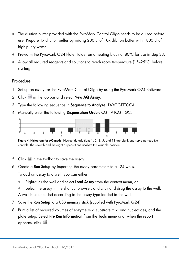- The dilution buffer provided with the PyroMark Control Oligo needs to be diluted before use. Prepare 1x dilution buffer by mixing 200 µl of 10x dilution buffer with 1800 µl of high-purity water.
- Prewarm the PyroMark Q24 Plate Holder on a heating block at 80°C for use in step [33.](#page-22-0)
- Allow all required reagents and solutions to reach room temperature (15–25°C) before starting.

#### Procedure

- 1. Set up an assay for the PyroMark Control Oligo by using the PyroMark Q24 Software.
- 2. Click in the toolbar and select New AQ Assay.
- 3. Type the following sequence in Sequence to Analyze: TAYGGTTTGCA.
- 4. Manually enter the following Dispensation Order: CGTTATCGTTGC.



Figure 4. Histogram for AQ mode. Nucleotide additions 1, 2, 3, 5, and 11 are blank and serve as negative controls. The seventh and the eight dispensations analyze the variable position.

- 5. Click **in** the toolbar to save the assay.
- 6. Create a Run Setup by importing the assay parameters to all 24 wells.

To add an assay to a well, you can either:

- Right-click the well and select **Load Assay** from the context menu, or
- Select the assay in the shortcut browser, and click and drag the assay to the well. A well is color-coded according to the assay type loaded to the well.
- 7. Save the Run Setup to a USB memory stick (supplied with PyroMark Q24).
- 8. Print a list of required volumes of enzyme mix, substrate mix, and nucleotides, and the plate setup. Select Pre Run Information from the Tools menu and, when the report appears, click .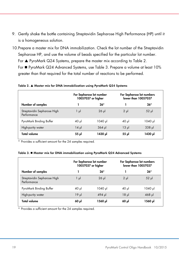- 9. Gently shake the bottle containing Streptavidin Sepharose High Performance (HP) until it is a homogeneous solution.
- 10.Prepare a master mix for DNA immobilization. Check the lot number of the Streptavidin Sepharose HP, and use the volume of beads specified for the particular lot number. For  $\triangle$  PyroMark Q24 Systems, prepare the master mix accordina to [Table 2.](#page-18-0) For PyroMark Q24 Advanced Systems, use [Table 3.](#page-18-1) Prepare a volume at least 10% greater than that required for the total number of reactions to be performed.

<span id="page-18-0"></span>Table 2. Master mix for DNA immobilization using PyroMark Q24 Systems

|                                            | For Sepharose lot number<br>10057037 or higher |            |          | For Sepharose lot numbers<br>lower than 10057037 |
|--------------------------------------------|------------------------------------------------|------------|----------|--------------------------------------------------|
| Number of samples                          |                                                | $26*$      |          | $26*$                                            |
| Streptavidin Sepharose High<br>Performance | $1 \mu$                                        | $26$ $\mu$ | $2 \mu$  | $52 \mu$                                         |
| PyroMark Binding Buffer                    | 40 µl                                          | $1040 \mu$ | $40$ pl  | 1040 µl                                          |
| High-purity water                          | $14 \mu$                                       | $364$ pl   | $13 \mu$ | $338$ pl                                         |
| <b>Total volume</b>                        | 55 pl                                          | 1430 µl    | 55 թվ    | ار 1430                                          |

\* Provides a sufficient amount for the 24 samples required.

<span id="page-18-1"></span>

|  |  | Table 3. ■ Master mix for DNA immobilization using PyroMark Q24 Advanced Systems |  |  |  |
|--|--|----------------------------------------------------------------------------------|--|--|--|
|  |  |                                                                                  |  |  |  |

|                                            | For Sepharose lot number<br>10057037 or higher |            |          | For Sepharose lot numbers<br>lower than 10057037 |
|--------------------------------------------|------------------------------------------------|------------|----------|--------------------------------------------------|
| Number of samples                          |                                                | $26*$      |          | $26*$                                            |
| Streptavidin Sepharose High<br>Performance | 1 µl                                           | $26$ $\mu$ | $2 \mu$  | $52 \mu$                                         |
| PyroMark Binding Buffer                    | $40$ pl                                        | 1040 µl    | $40 \mu$ | 1040 µl                                          |
| High-purity water                          | $19 \mu$                                       | 494 µl     | $18 \mu$ | $468$ pl                                         |
| <b>Total volume</b>                        | 60 µl                                          | 1560 µl    | 60 µl    | 1560 µl                                          |

\* Provides a sufficient amount for the 24 samples required.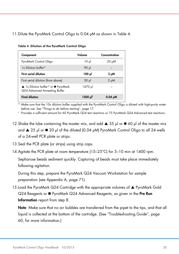#### <span id="page-19-0"></span>11. Dilute the PyroMark Control Oligo to 0.04 µM as shown in [Table 4.](#page-19-0)

| Component                                                            | Volume               | Concentration |
|----------------------------------------------------------------------|----------------------|---------------|
| PyroMark Control Oligo                                               | $10 \mu$             | $20 \mu M$    |
| 1x Dilution buffer*                                                  | 90 µl                |               |
| <b>First serial dilution</b>                                         | ار 100               | $2 \mu M$     |
| First serial dilution (from above)                                   | $30 \mu$             | $2 \mu M$     |
| ▲ 1x Dilution buffer* or ■ PyroMark<br>Q24 Advanced Annealing Buffer | 1470 µl              |               |
| <b>Final dilution</b>                                                | 1500 µl <sup>†</sup> | $0.04 \mu M$  |

Table 4. Dilution of the PyroMark Control Oligo

\* Make sure that the 10x dilution buffer supplied with the PyroMark Control Oligo is diluted with high-purity water before use. See ["Things to do before starting"](#page-10-1), page [17.](#page-16-1)

† Provides a sufficient amount for 60 PyroMark Q24 test reactions or 75 PyroMark Q24 Advanced test reactions.

- 12. Shake the tube containing the master mix, and add  $\triangle$  55 µl or  $\Box$  60 µl of the master mix and  $\triangle$  25 µl or  $\triangleq$  20 µl of the diluted (0.04 µM) PyroMark Control Oligo to all 24 wells of a 24-well PCR plate or strips.
- 13. Seal the PCR plate (or strips) using strip caps.
- 14.Agitate the PCR plate at room temperature (15–25°C) for 5–10 min at 1400 rpm.

Sepharose beads sediment quickly. Capturing of beads must take place immediately following agitation.

During this step, prepare the PyroMark Q24 Vacuum Workstation for sample preparation (see Appendix A, page [71\).](#page-70-0)

15. Load the PyroMark Q24 Cartridge with the appropriate volumes of  $\blacktriangle$  PyroMark Gold  $Q24$  Reagents or  $\blacksquare$  PyroMark  $Q24$  Advanced Reagents, as given in the Pre Run Information report from step [8.](#page-11-0) 

Note: Make sure that no air bubbles are transferred from the pipet to the tips, and that all liquid is collected at the bottom of the cartridge. (See "Troubleshooting Guide", page [60,](#page-59-0) for more information.)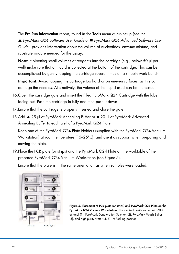The Pre Run Information report, found in the Tools menu at run setup (see the *PyroMark Q24 Software User Guide* or *PyroMark Q24 Advanced Software User Guide*), provides information about the volume of nucleotides, enzyme mixture, and substrate mixture needed for the assay.

Note: If pipetting small volumes of reagents into the cartridge (e.g., below 50 ul per well) make sure that all liquid is collected at the bottom of the cartridge. This can be accomplished by gently tapping the cartridge several times on a smooth work bench.

Important: Avoid tapping the cartridge too hard or on uneven surfaces, as this can damage the needles. Alternatively, the volume of the liquid used can be increased.

- 16.Open the cartridge gate and insert the filled PyroMark Q24 Cartridge with the label facing out. Push the cartridge in fully and then push it down.
- 17.Ensure that the cartridge is properly inserted and close the gate.
- 18.Add ▲ 25 µl of PyroMark Annealing Buffer or 20 µl of PyroMark Advanced Annealing Buffer to each well of a PyroMark Q24 Plate.

Keep one of the PyroMark Q24 Plate Holders (supplied with the PyroMark Q24 Vacuum Workstation) at room temperature (15–25°C), and use it as support when preparing and moving the plate.

19.Place the PCR plate (or strips) and the PyroMark Q24 Plate on the worktable of the prepared PyroMark Q24 Vacuum Workstation (see [Figure 5\)](#page-20-0).

Ensure that the plate is in the same orientation as when samples were loaded.

<span id="page-20-0"></span>

Figure 5. Placement of PCR plate (or strips) and PyroMark Q24 Plate on the PyroMark Q24 Vacuum Workstation. The marked positions contain 70% ethanol (1), PyroMark Denaturation Solution (2), PyroMark Wash Buffer (3), and high-purity water (4, 5). P: Parking position.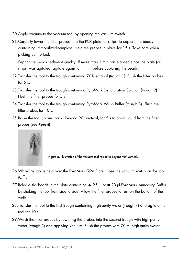- 20.Apply vacuum to the vacuum tool by opening the vacuum switch.
- 21.Carefully lower the filter probes into the PCR plate (or strips) to capture the beads containing immobilized template. Hold the probes in place for 15 s. Take care when picking up the tool.

Sepharose beads sediment quickly. If more than 1 min has elapsed since the plate (or strips) was agitated, agitate again for 1 min before capturing the beads.

- 22.Transfer the tool to the trough containing 70% ethanol (trough 1). Flush the filter probes for  $5 s$ .
- 23.Transfer the tool to the trough containing PyroMark Denaturation Solution (trough 2). Flush the filter probes for 5 s.
- 24.Transfer the tool to the trough containing PyroMark Wash Buffer (trough 3). Flush the filter probes for 10 s.
- 25.Raise the tool up and back, beyond 90° vertical, for 5 s to drain liquid from the filter probes (see [Figure 6](#page-21-0)).



Figure 6. Illustration of the vacuum tool raised to beyond 90° vertical.

- <span id="page-21-0"></span>26.While the tool is held over the PyroMark Q24 Plate, close the vacuum switch on the tool (Off).
- 27. Release the beads in the plate containing  $\triangle$  25 µl or  $\Box$  20 µl PyroMark Annealing Buffer by shaking the tool from side to side. Allow the filter probes to rest on the bottom of the wells.
- 28.Transfer the tool to the first trough containing high-purity water (trough 4) and agitate the tool for  $10<sub>s</sub>$ .
- 29.Wash the filter probes by lowering the probes into the second trough with high-purity water (trough 5) and applying vacuum. Flush the probes with 70 ml high-purity water.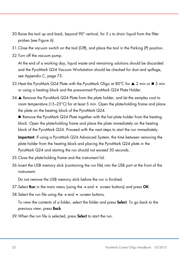- 30.Raise the tool up and back, beyond 90° vertical, for 5 s to drain liquid from the filter probes (see [Figure 6\)](#page-21-0).
- 31.Close the vacuum switch on the tool (Off), and place the tool in the Parking (P) position.
- 32.Turn off the vacuum pump.

At the end of a working day, liquid waste and remaining solutions should be discarded and the PyroMark Q24 Vacuum Workstation should be checked for dust and spillage, see Appendix C, page [75.](#page-73-0)

- <span id="page-22-0"></span>33. Heat the PyroMark Q24 Plate with the PyroMark Oligo at 80°C for  $\blacktriangle$  2 min or  $\blacktriangle$  5 min or using a heating block and the prewarmed PyroMark Q24 Plate Holder.
- 34. Remove the PyroMark Q24 Plate from the plate holder, and let the samples cool to room temperature (15–25°C) for at least 5 min. Open the plate-holding frame and place the plate on the heating block of the PyroMark Q24.

Remove the PyroMark Q24 Plate together with the hot plate holder from the heating block. Open the plate-holding frame and place the plate immediately on the heating block of the PyroMark Q24. Proceed with the next steps to start the run immediately.

Important: If using a PyroMark Q24 Advanced System, the time between removing the plate holder from the heating block and placing the PyroMark Q24 plate in the PyroMark Q24 and starting the run should not exceed 30 seconds.

- 35.Close the plate-holding frame and the instrument lid.
- 36.Insert the USB memory stick (containing the run file) into the USB port at the front of the instrument.

Do not remove the USB memory stick before the run is finished.

- 37. Select **Run** in the main menu (using the  $\blacktriangle$  and  $\blacktriangledown$  screen buttons) and press **OK**.
- 38. Select the run file using the  $\triangle$  and  $\blacktriangledown$  screen buttons.

To view the contents of a folder, select the folder and press **Select**. To go back to the previous view, press Back.

39. When the run file is selected, press **Select** to start the run.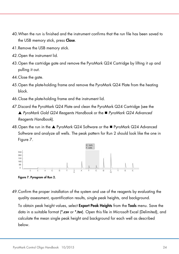- 40.When the run is finished and the instrument confirms that the run file has been saved to the USB memory stick, press **Close**.
- 41.Remove the USB memory stick.
- 42.Open the instrument lid.
- 43.Open the cartridge gate and remove the PyroMark Q24 Cartridge by lifting it up and pulling it out.
- 44.Close the gate.
- 45.Open the plate-holding frame and remove the PyroMark Q24 Plate from the heating block.
- 46.Close the plate-holding frame and the instrument lid.
- 47.Discard the PyroMark Q24 Plate and clean the PyroMark Q24 Cartridge (see the *PyroMark Gold Q24 Reagents Handbook* or the *PyroMark Q24 Advanced Reagents Handbook*).
- 48. Open the run in the ▲ PyroMark Q24 Software or the PyroMark Q24 Advanced Software and analyze all wells. The peak pattern for Run 2 should look like the one in [Figure 7.](#page-23-0)



<span id="page-23-0"></span>Figure 7. Pyrogram of Run 2.

49.Confirm the proper installation of the system and use of the reagents by evaluating the quality assessment, quantification results, single peak heights, and background.

To obtain peak height values, select **Export Peak Heights** from the **Tools** menu. Save the data in a suitable format (\*.csv or \*.tsv). Open this file in Microsoft Excel (Delimited), and calculate the mean single peak height and background for each well as described below.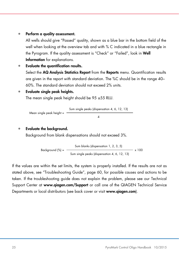#### Perform a quality assessment.

All wells should give "Passed" quality, shown as a blue bar in the bottom field of the well when looking at the overview tab and with % C indicated in a blue rectangle in the Pyrogram. If the quality assessment is "Check" or "Failed", look in Well Information for explanations.

• Evaluate the quantification results. Select the AQ Analysis Statistics Report from the Reports menu. Quantification results are given in the report with standard deviation. The %C should be in the range 40– 60%. The standard deviation should not exceed 2% units.

#### • Evaluate single peak heights.

The mean single peak height should be  $95 \pm 55$  RLU.

Mean single peak height = 
$$
\frac{\text{Sum single peaks (dispensation 4, 6, 12, 13)}}{4}
$$

#### • Evaluate the background.

Background from blank dispensations should not exceed 3%.

Background (%) = 
$$
\frac{\text{Sum blanks (dispensation 1, 2, 3, 5)}}{\text{Sum single peaks (dispensation 4, 6, 12, 13)}} \times 100
$$

If the values are within the set limits, the system is properly installed. If the results are not as stated above, see "Troubleshooting Guide", page [60,](#page-59-0) for possible causes and actions to be taken. If the troubleshooting guide does not explain the problem, please see our Technical Support Center at www.qiagen.com/Support or call one of the QIAGEN Technical Service Departments or local distributors (see back cover or visit www.giagen.com).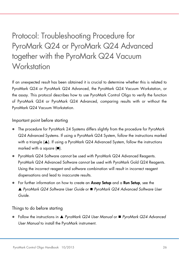# <span id="page-25-0"></span>Protocol: Troubleshooting Procedure for PyroMark Q24 or PyroMark Q24 Advanced together with the PyroMark Q24 Vacuum **Workstation**

If an unexpected result has been obtained it is crucial to determine whether this is related to PyroMark Q24 or PyroMark Q24 Advanced, the PyroMark Q24 Vacuum Workstation, or the assay. This protocol describes how to use PyroMark Control Oligo to verify the function of PyroMark Q24 or PyroMark Q24 Advanced, comparing results with or without the PyroMark Q24 Vacuum Workstation.

Important point before starting

- The procedure for PyroMark 24 Systems differs slightly from the procedure for PyroMark Q24 Advanced Systems. If using a PyroMark Q24 System, follow the instructions marked with a triangle  $(\triangle)$ . If using a PyroMark Q24 Advanced System, follow the instructions marked with a square  $(\blacksquare)$ .
- PyroMark Q24 Software cannot be used with PyroMark Q24 Advanced Reagents. PyroMark Q24 Advanced Software cannot be used with PyroMark Gold Q24 Reagents. Using the incorrect reagent and software combination will result in incorrect reagent dispensations and lead to inaccurate results.
- For further information on how to create an **Assay Setup** and a **Run Setup**, see the *PyroMark Q24 Software User Guide* or *PyroMark Q24 Advanced Software User Guide*.

<span id="page-25-1"></span>Things to do before starting

 Follow the instructions in *PyroMark Q24 User Manual* or *PyroMark Q24 Advanced User Manual* to install the PyroMark instrument.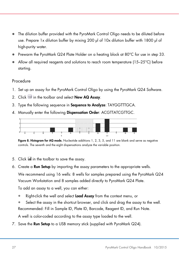- The dilution buffer provided with the PyroMark Control Oligo needs to be diluted before use. Prepare 1x dilution buffer by mixing 200 µl of 10x dilution buffer with 1800 µl of high-purity water.
- Prewarm the PyroMark Q24 Plate Holder on a heating block at 80°C for use in step [33.](#page-31-0)
- Allow all required reagents and solutions to reach room temperature (15–25°C) before starting.

#### Procedure

- 1. Set up an assay for the PyroMark Control Oligo by using the PyroMark Q24 Software.
- 2. Click in the toolbar and select New AQ Assay.
- 3. Type the following sequence in Sequence to Analyze: TAYGGTTTGCA.
- 4. Manually enter the following Dispensation Order: ACGTTATCGTTGC.



Figure 8. Histogram for AQ mode. Nucleotide additions 1, 2, 3, 5, and 11 are blank and serve as negative controls. The seventh and the eight dispensations analyze the variable position.

- 5. Click **in** in the toolbar to save the assay.
- 6. Create a Run Setup by importing the assay parameters to the appropriate wells.

We recommend using 16 wells: 8 wells for samples prepared using the PyroMark Q24 Vacuum Workstation and 8 samples added directly to PyroMark Q24 Plate.

To add an assay to a well, you can either:

- Right-click the well and select **Load Assay** from the context menu, or
- Select the assay in the shortcut browser, and click and drag the assay to the well. Recommended: Fill in Sample ID, Plate ID, Barcode, Reagent ID, and Run Note.

A well is color-coded according to the assay type loaded to the well.

7. Save the Run Setup to a USB memory stick (supplied with PyroMark Q24).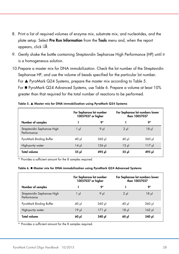- 8. Print a list of required volumes of enzyme mix, substrate mix, and nucleotides, and the plate setup. Select Pre Run Information from the Tools menu and, when the report appears, click  $\blacksquare$ .
- 9. Gently shake the bottle containing Streptavidin Sepharose High Performance (HP) until it is a homogeneous solution.
- 10.Prepare a master mix for DNA immobilization. Check the lot number of the Streptavidin Sepharose HP, and use the volume of beads specified for the particular lot number. For  $\triangle$  PyroMark Q24 Systems, prepare the master mix according to [Table 5.](#page-27-0) For PyroMark Q24 Advanced Systems, use [Table 6.](#page-27-1) Prepare a volume at least 10% greater than that required for the total number of reactions to be performed.

|                                            | For Sepharose lot number<br>10057037 or higher |             | For Sepharose lot numbers lower<br>than 10057037 |                  |  |
|--------------------------------------------|------------------------------------------------|-------------|--------------------------------------------------|------------------|--|
| Number of samples                          |                                                | 9*          |                                                  | 9*               |  |
| Streptavidin Sepharose High<br>Performance | $1 \mu$                                        | $9 \mu$     | $2 \mu$                                          | $18 \mu$         |  |
| PyroMark Binding Buffer                    | $40 \mu$                                       | $360$ $\mu$ | 40 µl                                            | $360$ $\mu$      |  |
| High-purity water                          | $14 \mu$                                       | $126$ pl    | $13 \mu$                                         | $117 \text{ pl}$ |  |
| <b>Total volume</b>                        | 55 µl                                          | 495 µl      | 55 µl                                            | 495 yl           |  |

<span id="page-27-0"></span>

|  |  | Table 5. ▲ Master mix for DNA immobilization using PyroMark Q24 Systems |  |  |
|--|--|-------------------------------------------------------------------------|--|--|
|  |  |                                                                         |  |  |

<span id="page-27-1"></span>\* Provides a sufficient amount for the 8 samples required.

#### Table 6. ■ Master mix for DNA immobilization using PyroMark Q24 Advanced Systems

|                                            | For Sepharose lot number<br>10057037 or higher |             | For Sepharose lot numbers lower<br>than 10057037 |             |  |
|--------------------------------------------|------------------------------------------------|-------------|--------------------------------------------------|-------------|--|
| Number of samples                          |                                                | 9*          |                                                  | 9*          |  |
| Streptavidin Sepharose High<br>Performance | 1 µl                                           | $9 \mu$     | $2 \mu$                                          | 18µ         |  |
| PyroMark Binding Buffer                    | $40$ pl                                        | $360$ $\mu$ | 40 µl                                            | $360$ $\mu$ |  |
| High-purity water                          | $19 \mu$                                       | $171$ µ     | 18µ                                              | $162$ pl    |  |
| <b>Total volume</b>                        | 60 pl                                          | ار 540      | $60$ pl                                          | 540 µl      |  |

\* Provides a sufficient amount for the 8 samples required.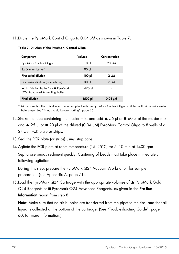#### <span id="page-28-0"></span>11. Dilute the PyroMark Control Oligo to 0.04  $\mu$ M as shown in [Table 7.](#page-28-0)

| Component                                                            | Volume          | Concentration |
|----------------------------------------------------------------------|-----------------|---------------|
| PyroMark Control Oligo                                               | 10 <sub>µ</sub> | $20 \mu M$    |
| 1x Dilution buffer*                                                  | 90 µl           |               |
| <b>First serial dilution</b>                                         | ار 100          | $2 \mu M$     |
| First serial dilution (from above)                                   | 30 <sub>µ</sub> | $2 \mu M$     |
| ▲ 1x Dilution buffer* or ■ PyroMark<br>Q24 Advanced Annealing Buffer | 1470 µl         |               |
| <b>Final dilution</b>                                                | 1500 pl         | $0.04 \mu M$  |

Table 7. Dilution of the PyroMark Control Oligo

Make sure that the 10x dilution buffer supplied with the PyroMark Control Oligo is diluted with high-purity water before use. See ["Things to do before starting"](#page-25-1), page [26.](#page-25-1)

- 12. Shake the tube containing the master mix, and add  $\triangle$  55 µl or  $\Box$  60 µl of the master mix and  $\triangle$  25 µl or  $\triangleq$  20 µl of the diluted (0.04 µM) PyroMark Control Oligo to 8 wells of a 24-well PCR plate or strips.
- 13. Seal the PCR plate (or strips) using strip caps.
- 14.Agitate the PCR plate at room temperature (15–25°C) for 5–10 min at 1400 rpm.

Sepharose beads sediment quickly. Capturing of beads must take place immediately following agitation.

During this step, prepare the PyroMark Q24 Vacuum Workstation for sample preparation (see Appendix A, page [71\).](#page-70-0)

15. Load the PyroMark Q24 Cartridae with the appropriate volumes of  $\blacktriangle$  PyroMark Gold  $Q24$  Reagents or  $\blacksquare$  PyroMark  $Q24$  Advanced Reagents, as given in the Pre Run Information report from step [8.](#page-11-0) 

Note: Make sure that no air bubbles are transferred from the pipet to the tips, and that all liquid is collected at the bottom of the cartridge. (See "Troubleshooting Guide", page [60,](#page-59-0) for more information.)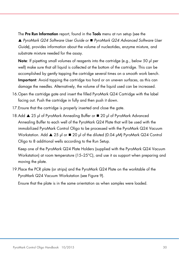The Pre Run Information report, found in the Tools menu at run setup (see the *PyroMark Q24 Software User Guide* or *PyroMark Q24 Advanced Software User Guide*), provides information about the volume of nucleotides, enzyme mixture, and substrate mixture needed for the assay.

Note: If pipetting small volumes of reagents into the cartridge (e.g., below 50 µl per well) make sure that all liquid is collected at the bottom of the cartridge. This can be accomplished by gently tapping the cartridge several times on a smooth work bench. Important: Avoid tapping the cartridge too hard or on uneven surfaces, as this can damage the needles. Alternatively, the volume of the liquid used can be increased.

- 16.Open the cartridge gate and insert the filled PyroMark Q24 Cartridge with the label facing out. Push the cartridge in fully and then push it down.
- 17.Ensure that the cartridge is properly inserted and close the gate.
- 18.Add ▲ 25 µl of PyroMark Annealing Buffer or 20 µl of PyroMark Advanced Annealing Buffer to each well of the PyroMark Q24 Plate that will be used with the immobilized PyroMark Control Oligo to be processed with the PyroMark Q24 Vacuum Workstation. Add ▲ 25 µl or ■ 20 µl of the diluted (0.04 µM) PyroMark Q24 Control Oligo to 8 additional wells according to the Run Setup.

Keep one of the PyroMark Q24 Plate Holders (supplied with the PyroMark Q24 Vacuum Workstation) at room temperature (15–25°C), and use it as support when preparing and moving the plate.

19.Place the PCR plate (or strips) and the PyroMark Q24 Plate on the worktable of the PyroMark Q24 Vacuum Workstation (see [Figure 9\)](#page-30-0).

Ensure that the plate is in the same orientation as when samples were loaded.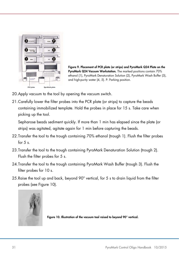<span id="page-30-0"></span>

Figure 9. Placement of PCR plate (or strips) and PyroMark Q24 Plate on the PyroMark Q24 Vacuum Workstation. The marked positions contain 70% ethanol (1), PyroMark Denaturation Solution (2), PyroMark Wash Buffer (3), and high-purity water (4, 5). P: Parking position.

- 20.Apply vacuum to the tool by opening the vacuum switch.
- 21.Carefully lower the filter probes into the PCR plate (or strips) to capture the beads containing immobilized template. Hold the probes in place for 15 s. Take care when picking up the tool.

Sepharose beads sediment quickly. If more than 1 min has elapsed since the plate (or strips) was agitated, agitate again for 1 min before capturing the beads.

- 22.Transfer the tool to the trough containing 70% ethanol (trough 1). Flush the filter probes for  $5 s$ .
- 23.Transfer the tool to the trough containing PyroMark Denaturation Solution (trough 2). Flush the filter probes for 5 s.
- 24.Transfer the tool to the trough containing PyroMark Wash Buffer (trough 3). Flush the filter probes for 10 s.
- 25.Raise the tool up and back, beyond 90° vertical, for 5 s to drain liquid from the filter probes (see [Figure 10\).](#page-30-1)



<span id="page-30-1"></span>Figure 10. Illustration of the vacuum tool raised to beyond 90° vertical.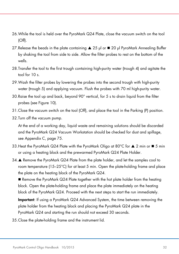- 26.While the tool is held over the PyroMark Q24 Plate, close the vacuum switch on the tool (Off).
- 27. Release the beads in the plate containing  $\triangle$  25 µl or  $\blacksquare$  20 µl PyroMark Annealing Buffer by shaking the tool from side to side. Allow the filter probes to rest on the bottom of the wells.
- 28.Transfer the tool to the first trough containing high-purity water (trough 4) and agitate the tool for 10 s.
- 29.Wash the filter probes by lowering the probes into the second trough with high-purity water (trough 5) and applying vacuum. Flush the probes with 70 ml high-purity water.
- 30.Raise the tool up and back, beyond 90° vertical, for 5 s to drain liquid from the filter probes (see Figure 10).
- 31.Close the vacuum switch on the tool (Off), and place the tool in the Parking (P) position.
- 32.Turn off the vacuum pump.

At the end of a working day, liquid waste and remaining solutions should be discarded and the PyroMark Q24 Vacuum Workstation should be checked for dust and spillage, see Appendix C, page [75.](#page-73-0)

- <span id="page-31-0"></span>33. Heat the PyroMark Q24 Plate with the PyroMark Oligo at 80°C for  $\blacktriangle$  2 min or  $\blacktriangle$  5 min or using a heating block and the prewarmed PyroMark Q24 Plate Holder.
- 34. Remove the PyroMark Q24 Plate from the plate holder, and let the samples cool to room temperature (15–25°C) for at least 5 min. Open the plate-holding frame and place the plate on the heating block of the PyroMark Q24.

 Remove the PyroMark Q24 Plate together with the hot plate holder from the heating block. Open the plate-holding frame and place the plate immediately on the heating block of the PyroMark Q24. Proceed with the next steps to start the run immediately.

Important: If using a PyroMark Q24 Advanced System, the time between removing the plate holder from the heating block and placing the PyroMark Q24 plate in the PyroMark Q24 and starting the run should not exceed 30 seconds.

35.Close the plate-holding frame and the instrument lid.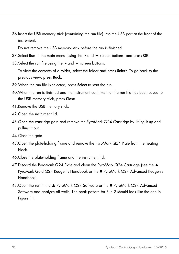36.Insert the USB memory stick (containing the run file) into the USB port at the front of the instrument.

Do not remove the USB memory stick before the run is finished.

- 37. Select Run in the main menu (using the  $\blacktriangle$  and  $\blacktriangledown$  screen buttons) and press OK.
- 38. Select the run file using the  $\triangle$  and  $\blacktriangledown$  screen buttons.

To view the contents of a folder, select the folder and press **Select**. To go back to the previous view, press Back.

- 39.When the run file is selected, press Select to start the run.
- 40.When the run is finished and the instrument confirms that the run file has been saved to the USB memory stick, press Close.
- 41.Remove the USB memory stick.
- 42.Open the instrument lid.
- 43.Open the cartridge gate and remove the PyroMark Q24 Cartridge by lifting it up and pulling it out.
- 44.Close the gate.
- 45.Open the plate-holding frame and remove the PyroMark Q24 Plate from the heating block.
- 46.Close the plate-holding frame and the instrument lid.
- 47. Discard the PyroMark Q24 Plate and clean the PyroMark Q24 Cartridge (see the  $\triangle$ PyroMark Gold Q24 Reagents Handbook or the ■ PyroMark Q24 Advanced Reagents Handbook).
- 48. Open the run in the ▲ PyroMark Q24 Software or the PyroMark Q24 Advanced Software and analyze all wells. The peak pattern for Run 2 should look like the one in [Figure 11.](#page-33-0)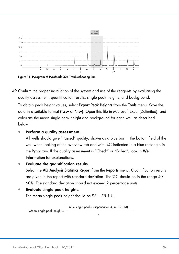

<span id="page-33-0"></span>Figure 11. Pyrogram of PyroMark Q24 Troubleshooting Run.

49.Confirm the proper installation of the system and use of the reagents by evaluating the quality assessment, quantification results, single peak heights, and background.

To obtain peak height values, select Export Peak Heights from the Tools menu. Save the data in a suitable format (\*.csv or \*.tsv). Open this file in Microsoft Excel (Delimited), and calculate the mean single peak height and background for each well as described below.

#### • Perform a quality assessment.

All wells should give "Passed" quality, shown as a blue bar in the bottom field of the well when looking at the overview tab and with %C indicated in a blue rectangle in the Pyrogram. If the quality assessment is "Check" or "Failed", look in Well Information for explanations.

#### • Evaluate the quantification results.

Select the AQ Analysis Statistics Report from the Reports menu. Quantification results are given in the report with standard deviation. The %C should be in the range 40– 60%. The standard deviation should not exceed 2 percentage units.

• Evaluate single peak heights.

The mean single peak height should be  $95 \pm 55$  RLU.

Sum single peaks (dispensation 4, 6, 12, 13)

Mean single peak height =

4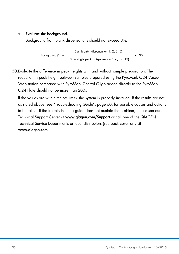#### • Evaluate the background.

Background from blank dispensations should not exceed 3%.

Background  $\frac{8}{6}$  = -Sum blanks (dispensation 1, 2, 3, 5)  $- x 100$ Sum single peaks (dispensation 4, 6, 12, 13)

50.Evaluate the difference in peak heights with and without sample preparation. The reduction in peak height between samples prepared using the PyroMark Q24 Vacuum Workstation compared with PyroMark Control Oligo added directly to the PyroMark Q24 Plate should not be more than 20%.

If the values are within the set limits, the system is properly installed. If the results are not as stated above, see "Troubleshooting Guide", page [60,](#page-59-0) for possible causes and actions to be taken. If the troubleshooting guide does not explain the problem, please see our Technical Support Center at www.aiagen.com/Support or call one of the QIAGEN Technical Service Departments or local distributors (see back cover or visit www.qiagen.com).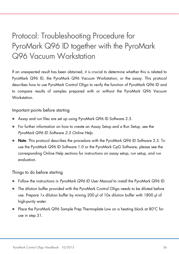# <span id="page-35-0"></span>Protocol: Troubleshooting Procedure for PyroMark Q96 ID together with the PyroMark Q96 Vacuum Workstation

If an unexpected result has been obtained, it is crucial to determine whether this is related to PyroMark Q96 ID, the PyroMark Q96 Vacuum Workstation, or the assay. This protocol describes how to use PyroMark Control Oligo to verify the function of PyroMark Q96 ID and to compare results of samples prepared with or without the PyroMark Q96 Vacuum **Workstation** 

Important points before starting

- Assay and run files are set up using PyroMark Q96 ID Software 2.5.
- For further information on how to create an Assay Setup and a Run Setup, see the *PyroMark Q96 ID Software 2.5 Online Help*.
- Note: This protocol describes the procedure with the PyroMark Q96 ID Software 2.5. To use the PyroMark Q96 ID Software 1.0 or the PyroMark CpG Software, please see the corresponding Online Help sections for instructions on assay setup, run setup, and run evaluation.

#### Things to do before starting

- Follow the instructions in *PyroMark Q96 ID User Manual* to install the PyroMark Q96 ID.
- The dilution buffer provided with the PyroMark Control Oligo needs to be diluted before use. Prepare 1x dilution buffer by mixing 200 µl of 10x dilution buffer with 1800 µl of high-purity water.
- Place the PyroMark Q96 Sample Prep Thermoplate Low on a heating block at 80°C for use in step [31.](#page-40-0)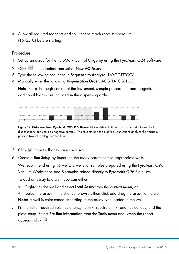Allow all required reagents and solutions to reach room temperature (15–25°C) before starting.

#### Procedure

- 1. Set up an assay for the PyroMark Control Oligo by using the PyroMark Q24 Software.
- 2. Click in the toolbar and select New AQ Assay.
- 3. Type the following sequence in **Sequence to Analyze:** TAYGGTTTGCA.
- 4. Manually enter the following Dispensation Order: ACGTTATCGTTGC.

Note: For a thorough control of the instrument, sample preparation and reagents, additional blanks are included in the dispensing order.



Figure 12. Histogram from PyroMark Q96 ID Software. Nucleotide additions 1, 2, 3, 5 and 11 are blank dispensations and serve as negative controls. The seventh and the eighth dispensations analyze the variable position (wobbled/degenerated base).

- 5. Click **in** the toolbar to save the assay.
- 6. Create a Run Setup by importing the assay parameters to appropriate wells.

We recommend using 16 wells: 8 wells for samples prepared using the PyroMark Q96 Vacuum Workstation and 8 samples added directly to PyroMark Q96 Plate Low.

To add an assay to a well, you can either:

- Right-click the well and select Load Assay from the context menu, or
- Select the assay in the shortcut browser, then click and drag the assay to the well Note: A well is color-coded according to the assay type loaded to the well.
- <span id="page-36-0"></span>7. Print a list of required volumes of enzyme mix, substrate mix, and nucleotides, and the plate setup. Select Pre Run Information from the Tools menu and, when the report appears, click  $\blacksquare$ .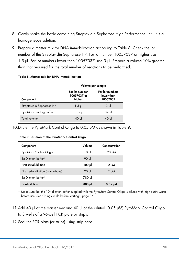- 8. Gently shake the bottle containing Streptavidin Sepharose High Performance until it is a homogeneous solution.
- 9. Prepare a master mix for DNA immobilization according to [Table 8.](#page-37-0) Check the lot number of the Streptavidin Sepharose HP. For lot number 10057037 or higher use 1.5 µl. For lot numbers lower than 10057037, use 3 µl. Prepare a volume 10% greater than that required for the total number of reactions to be performed.

|                           | Volume per sample                       |                                           |
|---------------------------|-----------------------------------------|-------------------------------------------|
| Component                 | For lot number<br>10057037 or<br>higher | For lot numbers<br>lower than<br>10057037 |
| Streptavidin Sepharose HP | $1.5$ $\mu$                             | $3 \mu$                                   |
| PyroMark Binding Buffer   | $38.5$ pl                               | 37 µl                                     |
| Total volume              | $40$ µ                                  | 10 JJ                                     |

#### <span id="page-37-0"></span>Table 8. Master mix for DNA immobilization

<span id="page-37-1"></span>10. Dilute the PyroMark Control Oligo to 0.05 µM as shown in [Table 9.](#page-37-1)

| Component                          | Volume   | Concentration |
|------------------------------------|----------|---------------|
| PyroMark Control Oligo             | $10 \mu$ | 20 µM         |
| 1x Dilution buffer*                | 90 µl    |               |
| <b>First serial dilution</b>       | ار 100   | $2 \mu M$     |
| First serial dilution (from above) | $20 \mu$ | $2 \mu M$     |
| 1x Dilution buffer*                | 780 µl   |               |
| <b>Final dilution</b>              | $800$ pl | $0.05 \mu M$  |

\* Make sure that the 10x dilution buffer supplied with the PyroMark Control Oligo is diluted with high-purity water before use. See ["Things to do before starting"](#page-35-0), page [36.](#page-35-0)

- 11.Add 40 µl of the master mix and 40 µl of the diluted (0.05 µM) PyroMark Control Oligo to 8 wells of a 96-well PCR plate or strips.
- 12.Seal the PCR plate (or strips) using strip caps.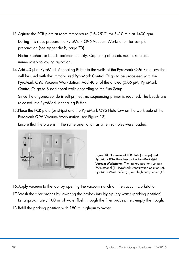13.Agitate the PCR plate at room temperature (15–25°C) for 5–10 min at 1400 rpm. During this step, prepare the PyroMark Q96 Vacuum Workstation for sample

preparation (see Appendix B, page [73\)](#page-71-0).

Note: Sepharose beads sediment quickly. Capturing of beads must take place immediately following agitation.

14.Add 40 µl of PyroMark Annealing Buffer to the wells of the PyroMark Q96 Plate Low that will be used with the immobilized PyroMark Control Oligo to be processed with the PyroMark Q96 Vacuum Workstation. Add 40 µl of the diluted (0.05 µM) PyroMark Control Oligo to 8 additional wells according to the Run Setup.

Since the oligonucleotide is self-primed, no sequencing primer is required. The beads are released into PyroMark Annealing Buffer.

15.Place the PCR plate (or strips) and the PyroMark Q96 Plate Low on the worktable of the PyroMark Q96 Vacuum Workstation (see [Figure 13\)](#page-38-0).

Ensure that the plate is in the same orientation as when samples were loaded.



<span id="page-38-0"></span>Figure 13. Placement of PCR plate (or strips) and PyroMark Q96 Plate Low on the PyroMark Q96 Vacuum Workstation. The marked positions contain 70% ethanol (1), PyroMark Denaturation Solution (2), PyroMark Wash Buffer (3), and high-purity water (4).

- 16.Apply vacuum to the tool by opening the vacuum switch on the vacuum workstation.
- 17.Wash the filter probes by lowering the probes into high-purity water (parking position). Let approximately 180 ml of water flush through the filter probes; i.e., empty the trough.
- 18.Refill the parking position with 180 ml high-purity water.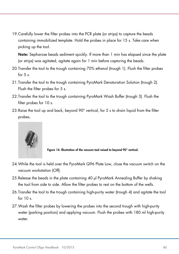19.Carefully lower the filter probes into the PCR plate (or strips) to capture the beads containing immobilized template. Hold the probes in place for 15 s. Take care when picking up the tool.

Note: Sepharose beads sediment quickly. If more than 1 min has elapsed since the plate (or strips) was agitated, agitate again for 1 min before capturing the beads.

- 20.Transfer the tool to the trough containing 70% ethanol (trough 1). Flush the filter probes for  $5 s$ .
- 21.Transfer the tool to the trough containing PyroMark Denaturation Solution (trough 2). Flush the filter probes for 5 s.
- 22.Transfer the tool to the trough containing PyroMark Wash Buffer (trough 3). Flush the filter probes for 10 s.
- 23.Raise the tool up and back, beyond 90° vertical, for 5 s to drain liquid from the filter probes.



Figure 14. Illustration of the vacuum tool raised to beyond 90° vertical.

- <span id="page-39-0"></span>24.While the tool is held over the PyroMark Q96 Plate Low, close the vacuum switch on the vacuum workstation (Off).
- 25.Release the beads in the plate containing 40 µl PyroMark Annealing Buffer by shaking the tool from side to side. Allow the filter probes to rest on the bottom of the wells.
- 26.Transfer the tool to the trough containing high-purity water (trough 4) and agitate the tool for  $10 s$ .
- 27.Wash the filter probes by lowering the probes into the second trough with high-purity water (parking position) and applying vacuum. Flush the probes with 180 ml high-purity water.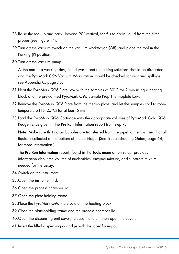- 28.Raise the tool up and back, beyond 90° vertical, for 5 s to drain liquid from the filter probes (see [Figure 14\).](#page-39-0)
- 29.Turn off the vacuum switch on the vacuum workstation (Off), and place the tool in the Parking (P) position.
- 30.Turn off the vacuum pump.

At the end of a working day, liquid waste and remaining solutions should be discarded and the PyroMark Q96 Vacuum Workstation should be checked for dust and spillage, see Appendix C, page [75.](#page-73-0)

- 31.Heat the PyroMark Q96 Plate Low with the samples at 80°C for 2 min using a heating block and the prewarmed PyroMark Q96 Sample Prep Thermoplate Low.
- 32.Remove the PyroMark Q96 Plate from the thermo plate, and let the samples cool to room temperature (15–25°C) for at least 5 min.
- 33.Load the PyroMark Q96 Cartridge with the appropriate volumes of PyroMark Gold Q96 Reagents, as given in the Pre Run Information report from step [7.](#page-36-0)

Note: Make sure that no air bubbles are transferred from the pipet to the tips, and that all liquid is collected at the bottom of the cartridge. (See Troubleshooting Guide, page [64,](#page-63-0) for more information.)

The Pre Run Information report, found in the Tools menu at run setup, provides information about the volume of nucleotides, enzyme mixture, and substrate mixture needed for the assay.

- 34.Switch on the instrument.
- 35.Open the instrument lid.
- 36.Open the process chamber lid.
- 37.Open the plate-holding frame.
- 38.Place the PyroMark Q96 Plate Low on the heating block.
- 39.Close the plate-holding frame and the process chamber lid.
- 40.Open the dispensing unit cover; release the latch, then open the cover.
- 41.Insert the filled dispensing cartridge with the label facing out.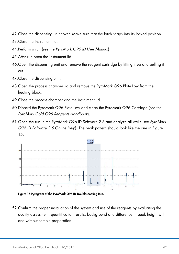- 42.Close the dispensing unit cover. Make sure that the latch snaps into its locked position.
- 43.Close the instrument lid.
- 44.Perform a run (see the *PyroMark Q96 ID User Manual*).
- 45.After run open the instrument lid.
- 46.Open the dispensing unit and remove the reagent cartridge by lifting it up and pulling it out.
- 47.Close the dispensing unit.
- 48.Open the process chamber lid and remove the PyroMark Q96 Plate Low from the heating block.
- 49.Close the process chamber and the instrument lid.
- 50.Discard the PyroMark Q96 Plate Low and clean the PyroMark Q96 Cartridge (see the *PyroMark Gold Q96 Reagents Handbook*).
- 51.Open the run in the PyroMark Q96 ID Software 2.5 and analyze all wells (see *PyroMark Q96 ID Software 2.5 Online Help*). The peak pattern should look like the one i[n Figure](#page-41-0)  [15.](#page-41-0)



<span id="page-41-0"></span>Figure 15.Pyrogram of the PyroMark Q96 ID Troubleshooting Run.

52.Confirm the proper installation of the system and use of the reagents by evaluating the quality assessment, quantification results, background and difference in peak height with and without sample preparation.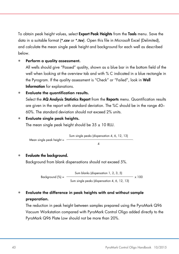To obtain peak height values, select **Export Peak Heights** from the **Tools** menu. Save the data in a suitable format (\*.csv or \*.tsv). Open this file in Microsoft Excel (Delimited), and calculate the mean single peak height and background for each well as described below.

#### Perform a quality assessment.

All wells should give "Passed" quality, shown as a blue bar in the bottom field of the well when looking at the overview tab and with % C indicated in a blue rectangle in the Pyrogram. If the quality assessment is "Check" or "Failed", look in Well Information for explanations.

#### • Evaluate the quantification results.

Select the AQ Analysis Statistics Report from the Reports menu. Quantification results are given in the report with standard deviation. The %C should be in the range 40– 60%. The standard deviation should not exceed 2% units.

#### • Evaluate single peak heights.

The mean single peak height should be  $35 \pm 10$  RLU.

Mean single peak height = 
$$
\frac{\text{Sum single peaks (dispensation 4, 6, 12, 13)}}{4}
$$

#### Evaluate the backaround.

Background from blank dispensations should not exceed 5%.

Background  $(\%) =$   $\qquad$ Sum blanks (dispensation 1, 2, 3, 5)  $\times$  100 Sum single peaks (dispensation 4, 6, 12, 13)

## • Evaluate the difference in peak heights with and without sample preparation.

The reduction in peak height between samples prepared using the PyroMark Q96 Vacuum Workstation compared with PyroMark Control Oligo added directly to the PyroMark Q96 Plate Low should not be more than 20%.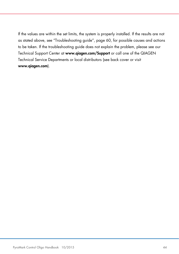If the values are within the set limits, the system is properly installed. If the results are not as stated above, see "Troubleshooting guide", page [60,](#page-59-0) for possible causes and actions to be taken. If the troubleshooting guide does not explain the problem, please see our Technical Support Center at www.qiagen.com/Support or call one of the QIAGEN Technical Service Departments or local distributors (see back cover or visit www.qiagen.com).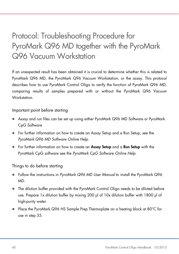# Protocol: Troubleshooting Procedure for PyroMark Q96 MD together with the PyroMark Q96 Vacuum Workstation

If an unexpected result has been obtained it is crucial to determine whether this is related to PyroMark Q96 MD, the PyroMark Q96 Vacuum Workstation, or the assay. This protocol describes how to use PyroMark Control Oligo to verify the function of PyroMark Q96 MD, comparing results of samples prepared with or without the PyroMark Q96 Vacuum Workstation.

Important point before starting

- Assay and run files can be set up using either PyroMark Q96 MD Software or PyroMark CpG Software
- For further information on how to create an Assay Setup and a Run Setup, see the *PyroMark Q96 MD Software Online Help*.
- For further information on how to create an Assay Setup and a Run Setup with the PyroMark CpG software see the *PyroMark CpG Software Online Help*.

<span id="page-44-0"></span>Things to do before starting

- Follow the instructions in *PyroMark Q96 MD User Manual* to install the PyroMark Q96 MD.
- The dilution buffer provided with the PyroMark Control Oligo needs to be diluted before use. Prepare 1x dilution buffer by mixing 200 µl of 10x dilution buffer with 1800 µl of high-purity water.
- **•** Place the PyroMark Q96 HS Sample Prep Thermoplate on a heating block at 80 $^{\circ}$ C for use in step [35.](#page-50-0)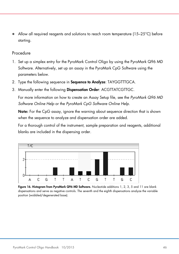Allow all required reagents and solutions to reach room temperature (15–25°C) before starting.

#### Procedure

- 1. Set up a simplex entry for the PyroMark Control Oligo by using the PyroMark Q96 MD Software. Alternatively, set up an assay in the PyroMark CpG Software using the parameters below.
- 2. Type the following sequence in Sequence to Analyze: TAYGGTTTGCA*.*
- 3. Manually enter the following Dispensation Order: ACGTTATCGTTGC.

For more information on how to create an Assay Setup file, see the *PyroMark Q96 MD Software Online Help* or the *PyroMark CpG Software Online Help*.

Note: For the CpG assay, ignore the warning about sequence direction that is shown when the sequence to analyze and dispensation order are added.

For a thorough control of the instrument, sample preparation and reagents, additional blanks are included in the dispensing order.



Figure 16. Histogram from PyroMark Q96 MD Software. Nucleotide additions 1, 2, 3, 5 and 11 are blank dispensations and serve as negative controls. The seventh and the eighth dispensations analyze the variable position (wobbled/degenerated base).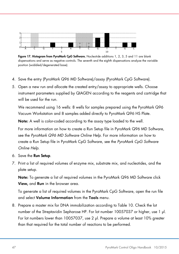

Figure 17. Histogram from PyroMark CpG Software. Nucleotide additions 1, 2, 3, 5 and 11 are blank dispensations and serve as negative controls. The seventh and the eighth dispensations analyze the variable position (wobbled/degenerated base).

- 4. Save the entry (PyroMark Q96 MD Software)/assay (PyroMark CpG Software).
- 5. Open a new run and allocate the created entry/assay to appropriate wells. Choose instrument parameters supplied by QIAGEN according to the reagents and cartridge that will be used for the run.

We recommend using 16 wells: 8 wells for samples prepared using the PyroMark Q96 Vacuum Workstation and 8 samples added directly to PyroMark Q96 HS Plate.

Note: A well is color-coded according to the assay type loaded to the well.

For more information on how to create a Run Setup file in PyroMark Q96 MD Software, see the *PyroMark Q96 MD Software Online Help*. For more information on how to create a Run Setup file in PyroMark CpG Software, see the *PyroMark CpG Software Online Help*.

- 6. Save the Run Setup.
- 7. Print a list of required volumes of enzyme mix, substrate mix, and nucleotides, and the plate setup.

Note: To generate a list of required volumes in the PyroMark Q96 MD Software click View, and Run in the browser area.

To generate a list of required volumes in the PyroMark CpG Software, open the run file and select Volume Information from the Tools menu.

8. Prepare a master mix for DNA immobilization according to [Table 10.](#page-47-0) Check the lot number of the Streptavidin Sepharose HP. For lot number 10057037 or higher, use 1 µl. For lot numbers lower than 10057037, use 2 µl. Prepare a volume at least 10% greater than that required for the total number of reactions to be performed.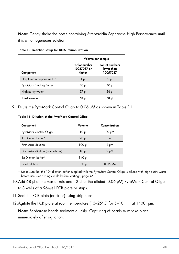Note: Gently shake the bottle containing Streptavidin Sepharose High Performance until it is a homogeneous solution.

| Volume per sample         |                                         |                                           |
|---------------------------|-----------------------------------------|-------------------------------------------|
| Component                 | For lot number<br>10057037 or<br>higher | For lot numbers<br>lower than<br>10057037 |
| Streptavidin Sepharose HP | $1 \mu$                                 | $2 \mu$                                   |
| PyroMark Binding Buffer   | 40 µl                                   | $40$ pl                                   |
| High-purity water         | $27 \mu$                                | $26$ $\mu$                                |
| Total volume              | 68 µl                                   | 68 µl                                     |

<span id="page-47-0"></span>Table 10. Reaction setup for DNA immobilization

<span id="page-47-1"></span>9. Dilute the PyroMark Control Oligo to 0.06 µM as shown in [Table 11.](#page-47-1)

Table 11. Dilution of the PyroMark Control Oligo

| Component                          | Volume   | Concentration |
|------------------------------------|----------|---------------|
| PyroMark Control Oligo             | $10 \mu$ | $20 \mu M$    |
| 1x Dilution buffer*                | 90 µl    |               |
| First serial dilution              | 100 µl   | $2 \mu M$     |
| First serial dilution (from above) | $10 \mu$ | $2 \mu M$     |
| 1x Dilution buffer*                | 340 µl   |               |
| <b>Final dilution</b>              | $350$ pl | $0.06 \mu M$  |

\* Make sure that the 10x dilution buffer supplied with the PyroMark Control Oligo is diluted with high-purity water before use. See ["Things to do before starting"](#page-44-0), page [45.](#page-44-0)

- 10.Add 68 µl of the master mix and 12 µl of the diluted (0.06 µM) PyroMark Control Oligo to 8 wells of a 96-well PCR plate or strips.
- 11.Seal the PCR plate (or strips) using strip caps.
- 12.Agitate the PCR plate at room temperature (15–25°C) for 5–10 min at 1400 rpm.

Note: Sepharose beads sediment quickly. Capturing of beads must take place immediately after agitation.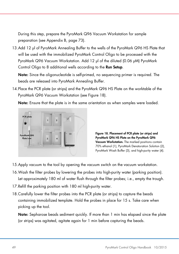During this step, prepare the PyroMark Q96 Vacuum Workstation for sample preparation (see Appendix B, page [73\)](#page-71-0).

13.Add 12 µl of PyroMark Annealing Buffer to the wells of the PyroMark Q96 HS Plate that will be used with the immobilized PyroMark Control Oligo to be processed with the PyroMark Q96 Vacuum Workstation. Add 12 µl of the diluted (0.06 µM) PyroMark Control Oligo to 8 additional wells according to the **Run Setup**.

Note: Since the oligonucleotide is self-primed, no sequencing primer is required. The beads are released into PyroMark Annealing Buffer.

14.Place the PCR plate (or strips) and the PyroMark Q96 HS Plate on the worktable of the PyroMark Q96 Vacuum Workstation (see [Figure 18\)](#page-48-0).

Note: Ensure that the plate is in the same orientation as when samples were loaded.



<span id="page-48-0"></span>Figure 18. Placement of PCR plate (or strips) and PyroMark Q96 HS Plate on the PyroMark Q96 Vacuum Workstation. The marked positions contain 70% ethanol (1), PyroMark Denaturation Solution (2), PyroMark Wash Buffer (3), and high-purity water (4).

- 15.Apply vacuum to the tool by opening the vacuum switch on the vacuum workstation.
- 16.Wash the filter probes by lowering the probes into high-purity water (parking position). Let approximately 180 ml of water flush through the filter probes; i.e., empty the trough.
- 17.Refill the parking position with 180 ml high-purity water.
- 18.Carefully lower the filter probes into the PCR plate (or strips) to capture the beads containing immobilized template. Hold the probes in place for 15 s. Take care when picking up the tool.

Note: Sepharose beads sediment quickly. If more than 1 min has elapsed since the plate (or strips) was agitated, agitate again for 1 min before capturing the beads.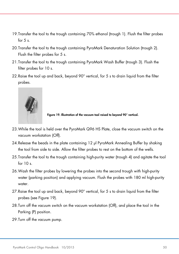- 19.Transfer the tool to the trough containing 70% ethanol (trough 1). Flush the filter probes for  $5<sub>s</sub>$
- 20.Transfer the tool to the trough containing PyroMark Denaturation Solution (trough 2). Flush the filter probes for 5 s.
- 21.Transfer the tool to the trough containing PyroMark Wash Buffer (trough 3). Flush the filter probes for 10 s.
- 22.Raise the tool up and back, beyond 90° vertical, for 5 s to drain liquid from the filter probes.



<span id="page-49-0"></span>Figure 19. Illustration of the vacuum tool raised to beyond 90° vertical.

- 23.While the tool is held over the PyroMark Q96 HS Plate, close the vacuum switch on the vacuum workstation (Off).
- 24.Release the beads in the plate containing 12 µl PyroMark Annealing Buffer by shaking the tool from side to side. Allow the filter probes to rest on the bottom of the wells.
- 25.Transfer the tool to the trough containing high-purity water (trough 4) and agitate the tool for  $10 s$ .
- 26.Wash the filter probes by lowering the probes into the second trough with high-purity water (parking position) and applying vacuum. Flush the probes with 180 ml high-purity water.
- 27.Raise the tool up and back, beyond 90° vertical, for 5 s to drain liquid from the filter probes (see [Figure 19\).](#page-49-0)
- 28.Turn off the vacuum switch on the vacuum workstation (Off), and place the tool in the Parking (P) position.
- 29.Turn off the vacuum pump.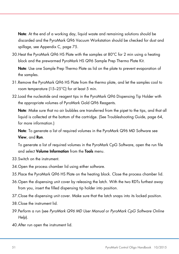Note: At the end of a working day, liquid waste and remaining solutions should be discarded and the PyroMark Q96 Vacuum Workstation should be checked for dust and spillage, see Appendix C, page [75.](#page-73-0)

30.Heat the PyroMark Q96 HS Plate with the samples at 80°C for 2 min using a heating block and the prewarmed PyroMark HS Q96 Sample Prep Thermo Plate Kit.

Note: Use one Sample Prep Thermo Plate as lid on the plate to prevent evaporation of the samples.

- 31.Remove the PyroMark Q96 HS Plate from the thermo plate, and let the samples cool to room temperature (15–25°C) for at least 5 min.
- 32.Load the nucleotide and reagent tips in the PyroMark Q96 Dispensing Tip Holder with the appropriate volumes of PyroMark Gold Q96 Reagents.

Note: Make sure that no air bubbles are transferred from the pipet to the tips, and that all liquid is collected at the bottom of the cartridge. (See Troubleshooting Guide, page [64,](#page-63-0) for more information.)

Note: To generate a list of required volumes in the PyroMark Q96 MD Software see View, and Run.

To generate a list of required volumes in the PyroMark CpG Software, open the run file and select **Volume Information** from the **Tools** menu.

- 33.Switch on the instrument.
- 34.Open the process chamber lid using either software.
- <span id="page-50-0"></span>35.Place the PyroMark Q96 HS Plate on the heating block. Close the process chamber lid.
- 36.Open the dispensing unit cover by releasing the latch. With the two RDTs furthest away from you, insert the filled dispensing tip holder into position.
- 37.Close the dispensing unit cover. Make sure that the latch snaps into its locked position.
- 38.Close the instrument lid.
- 39.Perform a run (see *PyroMark Q96 MD User Manual* or *PyroMark CpG Software Online Help*).
- 40.After run open the instrument lid.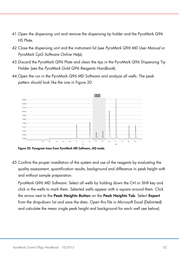- 41.Open the dispensing unit and remove the dispensing tip holder and the PyroMark Q96 HS Plate.
- 42.Close the dispensing unit and the instrument lid (see *PyroMark Q96 MD User Manual* or *PyroMark CpG Software Online Help*).
- 43.Discard the PyroMark Q96 Plate and clean the tips in the PyroMark Q96 Dispensing Tip Holder (see the *PyroMark Gold Q96 Reagents Handbook*).
- 44.Open the run in the PyroMark Q96 MD Software and analyze all wells. The peak pattern should look like the one in [Figure 20.](#page-51-0)



<span id="page-51-0"></span>Figure 20. Pyrogram trace from PyroMark MD Software, AQ mode.

45.Confirm the proper installation of the system and use of the reagents by evaluating the quality assessment, quantification results, background and difference in peak height with and without sample preparation.

PyroMark Q96 MD Software: Select all wells by holding down the Ctrl or Shift key and click in the wells to mark them. Selected wells appear with a square around them. Click the arrow next to the Peak Heights Button on the Peak Heights Tab. Select Export from the drop-down list and save the data. Open this file in Microsoft Excel (Delimited) and calculate the mean single peak height and background for each well see below).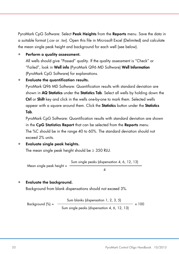PyroMark CpG Software: Select Peak Heights from the Reports menu. Save the data in a suitable format (.csv or .tsv). Open this file in Microsoft Excel (Delimited) and calculate the mean single peak height and background for each well (see below).

Perform a quality assessment.

All wells should give "Passed" quality. If the quality assessment is "Check" or "Failed", look in Well info (PyroMark Q96 MD Software) Well Information (PyroMark CpG Software) for explanations.

• Evaluate the quantification results.

PyroMark Q96 MD Software: Quantification results with standard deviation are shown in **AQ Statistics** under the **Statistics Tab**. Select all wells by holding down the Ctrl or Shift key and click in the wells one-by-one to mark them. Selected wells appear with a square around them. Click the Statistics button under the Statistics Tab.

PyroMark CpG Software: Quantification results with standard deviation are shown in the CpG Statistics Report that can be selected from the Reports menu. The %C should be in the range 40 to 60%. The standard deviation should not exceed 2% units.

• Evaluate single peak heights.

The mean single peak height should be  $\geq$  350 RLU.

Mean single peak height = Sum single peaks (dispensation 4, 6, 12, 13) 4

#### • Evaluate the background.

Background from blank dispensations should not exceed 3%.

Background (%) = Sum blanks (dispensation 1, 2, 3, 5)  $- \times 100$ Sum single peaks (dispensation 4, 6, 12, 13)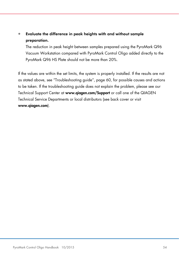### • Evaluate the difference in peak heights with and without sample preparation.

The reduction in peak height between samples prepared using the PyroMark Q96 Vacuum Workstation compared with PyroMark Control Oligo added directly to the PyroMark Q96 HS Plate should not be more than 20%.

If the values are within the set limits, the system is properly installed. If the results are not as stated above, see "Troubleshooting guide", page [60,](#page-59-0) for possible causes and actions to be taken. If the troubleshooting guide does not explain the problem, please see our Technical Support Center at www.qiagen.com/Support or call one of the QIAGEN Technical Service Departments or local distributors (see back cover or visit www.qiagen.com).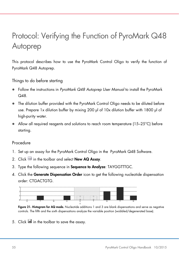# Protocol: Verifying the Function of PyroMark Q48 Autoprep

This protocol describes how to use the PyroMark Control Oligo to verify the function of PyroMark Q48 Autoprep.

<span id="page-54-0"></span>Things to do before starting

- Follow the instructions in *PyroMark Q48 Autoprep User Manual* to install the PyroMark  $\Omega$ 48
- The dilution buffer provided with the PyroMark Control Oligo needs to be diluted before use. Prepare 1x dilution buffer by mixing 200 µl of 10x dilution buffer with 1800 µl of high-purity water.
- Allow all required reagents and solutions to reach room temperature (15–25 $^{\circ}$ C) before starting.

#### Procedure

- 1. Set up an assay for the PyroMark Control Oligo in the PyroMark Q48 Software.
- 2. Click in the toolbar and select **New AQ Assay.**
- 3. Type the following sequence in Sequence to Analyze: TAYGGTTTGC.
- 4. Click the Generate Dispensation Order icon to get the following nucleotide dispensation order: CTGACTGTG.



Figure 21. Histogram for AQ mode. Nucleotide additions 1 and 3 are blank dispensations and serve as negative controls. The fifth and the sixth dispensations analyze the variable position (wobbled/degenerated base).

5. Click **in** the toolbar to save the assay.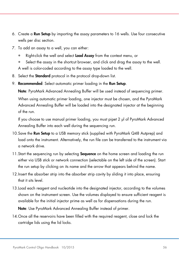- 6. Create a Run Setup by importing the assay parameters to 16 wells. Use four consecutive wells per disc section.
- 7. To add an assay to a well, you can either:
	- Right-click the well and select Load Assay from the context menu, or
	- Select the assay in the shortcut browser, and click and drag the assay to the well.
	- A well is color-coded according to the assay type loaded to the well.
- 8. Select the **Standard** protocol in the protocol drop-down list.
- 9. Recommended: Select automatic primer loading in the Run Setup.

Note: PyroMark Advanced Annealing Buffer will be used instead of sequencing primer. When using automatic primer loading, one injector must be chosen, and the PyroMark Advanced Annealing Buffer will be loaded into the designated injector at the beginning of the run.

If you choose to use manual primer loading, you must pipet 2 µl of PyroMark Advanced Annealing Buffer into each well during the sequencing run.

- 10. Save the **Run Setup** to a USB memory stick (supplied with PyroMark Q48 Autprep) and load onto the instrument. Alternatively, the run file can be transferred to the instrument via a network drive.
- 11. Start the sequencing run by selecting **Sequence** on the home screen and loading the run either via USB stick or network connection (selectable on the left side of the screen). Start the run setup by clicking on its name and the arrow that appears behind the name.
- 12.Insert the absorber strip into the absorber strip cavity by sliding it into place, ensuring that it sits level.
- 13.Load each reagent and nucleotide into the designated injector, according to the volumes shown on the instrument screen. Use the volumes displayed to ensure sufficient reagent is available for the initial injector prime as well as for dispensations during the run.

Note: Use PyroMark Advanced Annealing Buffer instead of primer.

14.Once all the reservoirs have been filled with the required reagent, close and lock the cartridge lids using the lid locks.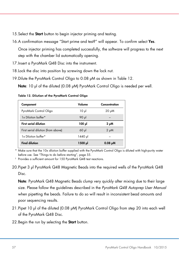- 15. Select the **Start** button to begin injector priming and testing.
- 16.A confirmation message "Start prime and test?" will appear. To confirm select Yes.

Once injector priming has completed successfully, the software will progress to the next step with the chamber lid automatically opening.

- 17.Insert a PyroMark Q48 Disc into the instrument.
- 18.Lock the disc into position by screwing down the lock nut.
- <span id="page-56-1"></span>19. Dilute the PyroMark Control Oligo to 0.08  $\mu$ M as shown in [Table 12.](#page-56-0)

Note: 10 µl of the diluted (0.08 µM) PyroMark Control Oligo is needed per well.

| Component                          | Volume   | Concentration |
|------------------------------------|----------|---------------|
| PyroMark Control Oligo             | $10 \mu$ | $20 \mu M$    |
| 1x Dilution buffer*                | 90 µl    |               |
| <b>First serial dilution</b>       | ار 100   | 2 μΜ          |
| First serial dilution (from above) | $60$ pl  | $2 \mu M$     |
| 1x Dilution buffer*                | 1440 µl  |               |
| <b>Final dilution</b>              | 1500 pl  | $0.08 \mu M$  |

#### <span id="page-56-0"></span>Table 12. Dilution of the PyroMark Control Oligo

\* Make sure that the 10x dilution buffer supplied with the PyroMark Control Oligo is diluted with high-purity water before use. See ["Things to do before starting"](#page-10-0), pag[e 55.](#page-54-0)

† Provides a sufficient amount for 150 PyroMark Q48 test reactions.

20.Pipet 3 µl PyroMark Q48 Magnetic Beads into the required wells of the PyroMark Q48 Disc.

Note: PyroMark Q48 Magnetic Beads clump very quickly after mixing due to their large size. Please follow the guidelines described in the *PyroMark Q48 Autoprep User Manual* when pipetting the beads. Failure to do so will result in inconsistent bead amounts and poor sequencing results.

- 21.Pipet 10 µl of the diluted (0.08 µM) PyroMark Control Oligo from step [20](#page-56-1) into each well of the PyroMark Q48 Disc.
- 22. Begin the run by selecting the **Start** button.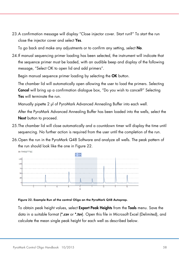23.A confirmation message will display "Close injector cover. Start run?" To start the run close the injector cover and select Yes.

To go back and make any adjustments or to confirm any setting, select **No.** 

24.If manual sequencing primer loading has been selected, the instrument will indicate that the sequence primer must be loaded, with an audible beep and display of the following message, "Select OK to open lid and add primers".

Begin manual sequence primer loading by selecting the OK button.

The chamber lid will automatically open allowing the user to load the primers. Selecting Cancel will bring up a confirmation dialogue box, "Do you wish to cancel?" Selecting Yes will terminate the run.

Manually pipette 2 µl of PyroMark Advanced Annealing Buffer into each well.

After the PyroMark Advanced Annealing Buffer has been loaded into the wells, select the Next button to proceed.

- 25.The chamber lid will close automatically and a countdown timer will display the time until sequencing. No further action is required from the user until the completion of the run.
- 26.Open the run in the PyroMark Q48 Software and analyze all wells. The peak pattern of the run should look like the one in [Figure 22.](#page-57-0)



<span id="page-57-0"></span>

To obtain peak height values, select **Export Peak Heights** from the **Tools** menu. Save the data in a suitable format (\*.csv or \*.tsv). Open this file in Microsoft Excel (Delimited), and calculate the mean single peak height for each well as described below.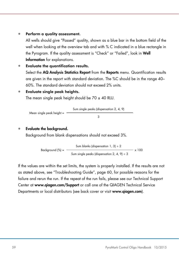#### Perform a quality assessment.

All wells should give "Passed" quality, shown as a blue bar in the bottom field of the well when looking at the overview tab and with % C indicated in a blue rectangle in the Pyrogram. If the quality assessment is "Check" or "Failed", look in Well Information for explanations.

• Evaluate the quantification results. Select the AQ Analysis Statistics Report from the Reports menu. Quantification results are given in the report with standard deviation. The %C should be in the range 40– 60%. The standard deviation should not exceed 2% units.

#### • Evaluate single peak heights.

The mean single peak height should be  $70 \pm 40$  RLU.

Mean single peak height = 
$$
\frac{\text{Sum single peaks (dispensation 2, 4, 9)}}{3}
$$

#### • Evaluate the background.

Background from blank dispensations should not exceed 3%.

Background (%) =

\n
$$
\frac{\text{Sum blanks (dispensation 1, 3) ÷ 2}}{\text{Sum single peaks (dispensation 2, 4, 9) ÷ 3}} \times 100
$$

If the values are within the set limits, the system is properly installed. If the results are not as stated above, see "Troubleshooting Guide", page [60,](#page-59-0) for possible reasons for the failure and rerun the run. If the repeat of the run fails, please see our Technical Support Center at www.qiagen.com/Support or call one of the QIAGEN Technical Service Departments or local distributors (see back cover or visit www.qiagen.com).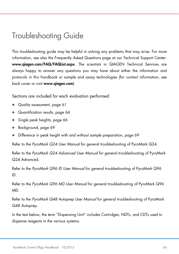# <span id="page-59-0"></span>Troubleshooting Guide

This troubleshooting guide may be helpful in solving any problems that may arise. For more information, see also the Frequently Asked Questions page at our Technical Support Center: www.qiagen.com/FAQ/FAQList.aspx. The scientists in QIAGEN Technical Services are always happy to answer any questions you may have about either the information and protocols in this handbook or sample and assay technologies (for contact information, see back cover or visit www.qiagen.com).

Sections are included for each evaluation performed:

- Quality assessment, page [61](#page-60-0)
- Quantification results, page [64](#page-63-1)
- Single peak heights, page [66](#page-64-0)
- Background, page [69](#page-68-0)
- Difference in peak height with and without sample preparation, page [69](#page-68-1)

Refer to the *PyroMark Q24 User Manual* for general troubleshooting of PyroMark Q24.

Refer to the *PyroMark Q24 Advanced User Manual* for general troubleshooting of PyroMark Q24 Advanced.

Refer to the *PyroMark Q96 ID User Manual* for general troubleshooting of PyroMark Q96 ID.

Refer to the *PyroMark Q96 MD User Manual* for general troubleshooting of PyroMark Q96 MD.

Refer to the *PyroMark Q48 Autoprep User Manual* for general troubleshooting of PyroMark Q48 Autoprep.

In the text below, the term "Dispensing Unit" includes Cartridges, NDTs, and CDTs used to dispense reagents in the various systems.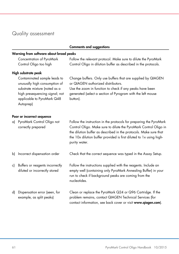# <span id="page-60-0"></span>Quality assessment

|    |                                                                                                                                                                             | <b>Comments and suggestions</b>                                                                                                                                                                                                                                                                     |
|----|-----------------------------------------------------------------------------------------------------------------------------------------------------------------------------|-----------------------------------------------------------------------------------------------------------------------------------------------------------------------------------------------------------------------------------------------------------------------------------------------------|
|    | Warning from software about broad peaks                                                                                                                                     |                                                                                                                                                                                                                                                                                                     |
|    | Concentration of PyroMark<br>Control Oligo too high                                                                                                                         | Follow the relevant protocol. Make sure to dilute the PyroMark<br>Control Oligo in dilution buffer as described in the protocols.                                                                                                                                                                   |
|    | High substrate peak                                                                                                                                                         |                                                                                                                                                                                                                                                                                                     |
|    | Contaminated sample leads to<br>unusually high consumption of<br>substrate mixture (noted as a<br>high presequencing signal; not<br>applicable to PyroMark Q48<br>Autoprep) | Change buffers. Only use buffers that are supplied by QIAGEN<br>or QIAGEN authorized distributors.<br>Use the zoom in function to check if any peaks have been<br>generated (select a section of Pyrogram with the left mouse<br>button).                                                           |
|    | Poor or incorrect sequence                                                                                                                                                  |                                                                                                                                                                                                                                                                                                     |
|    | a) PyroMark Control Oligo not<br>correctly prepared                                                                                                                         | Follow the instruction in the protocols for preparing the PyroMark<br>Control Oligo. Make sure to dilute the PyroMark Control Oligo in<br>the dilution buffer as described in the protocols. Make sure that<br>the 10x dilution buffer provided is first diluted to 1x using high-<br>purity water. |
| b) | Incorrect dispensation order                                                                                                                                                | Check that the correct sequence was typed in the Assay Setup.                                                                                                                                                                                                                                       |
| c) | Buffers or reagents incorrectly<br>diluted or incorrectly stored                                                                                                            | Follow the instructions supplied with the reagents. Include an<br>empty well (containing only PyroMark Annealing Buffer) in your<br>run to check if background peaks are coming from the<br>nucleotides.                                                                                            |
| d) | Dispensation error (seen, for<br>example, as split peaks)                                                                                                                   | Clean or replace the PyroMark Q24 or Q96 Cartridge. If the<br>problem remains, contact QIAGEN Technical Services (for<br>contact information, see back cover or visit www.qiagen.com).                                                                                                              |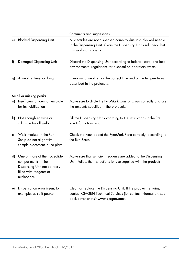|    |                                                                                                                                 | <b>Comments and suggestions</b>                                                                                                                                          |
|----|---------------------------------------------------------------------------------------------------------------------------------|--------------------------------------------------------------------------------------------------------------------------------------------------------------------------|
| e) | <b>Blocked Dispensing Unit</b>                                                                                                  | Nucleotides are not dispensed correctly due to a blocked needle<br>in the Dispensing Unit. Clean the Dispensing Unit and check that<br>it is working properly.           |
| f) | Damaged Dispensing Unit                                                                                                         | Discard the Dispensing Unit according to federal, state, and local<br>environmental regulations for disposal of laboratory waste.                                        |
| g) | Annealing time too long                                                                                                         | Carry out annealing for the correct time and at the temperatures<br>described in the protocols.                                                                          |
|    | Small or missing peaks                                                                                                          |                                                                                                                                                                          |
|    | a) Insufficient amount of template<br>for immobilization                                                                        | Make sure to dilute the PyroMark Control Oligo correctly and use<br>the amounts specified in the protocols.                                                              |
| b) | Not enough enzyme or<br>substrate for all wells                                                                                 | Fill the Dispensing Unit according to the instructions in the Pre<br>Run Information report.                                                                             |
| c) | Wells marked in the Run<br>Setup do not align with<br>sample placement in the plate                                             | Check that you loaded the PyroMark Plate correctly, according to<br>the Run Setup.                                                                                       |
| d) | One or more of the nucleotide<br>compartments in the<br>Dispensing Unit not correctly<br>filled with reagents or<br>nucleotides | Make sure that sufficient reagents are added to the Dispensing<br>Unit. Follow the instructions for use supplied with the products.                                      |
| e) | Dispensation error (seen, for<br>example, as split peaks)                                                                       | Clean or replace the Dispensing Unit. If the problem remains,<br>contact QIAGEN Technical Services (for contact information, see<br>back cover or visit www.qiagen.com). |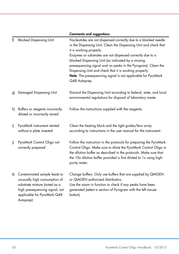|    |                                                                                                                                                                              | <b>Comments and suggestions</b>                                                                                                                                                                                                                                                                                                                                                                                                                                                                 |
|----|------------------------------------------------------------------------------------------------------------------------------------------------------------------------------|-------------------------------------------------------------------------------------------------------------------------------------------------------------------------------------------------------------------------------------------------------------------------------------------------------------------------------------------------------------------------------------------------------------------------------------------------------------------------------------------------|
| f) | <b>Blocked Dispensing Unit</b>                                                                                                                                               | Nucleotides are not dispensed correctly due to a blocked needle<br>in the Dispensing Unit. Clean the Dispensing Unit and check that<br>it is working properly.<br>Enzymes or substrates are not dispensed correctly due to a<br>blocked Dispensing Unit (as indicated by a missing<br>presequencing signal and no peaks in the Pyrogram). Clean the<br>Dispensing Unit and check that it is working properly.<br>Note: The presequencing signal is not applicable for PyroMark<br>Q48 Autoprep. |
| g) | Damaged Dispensing Unit                                                                                                                                                      | Discard the Dispensing Unit according to federal, state, and local<br>environmental regulations for disposal of laboratory waste.                                                                                                                                                                                                                                                                                                                                                               |
| h) | Buffers or reagents incorrectly<br>diluted or incorrectly stored                                                                                                             | Follow the instructions supplied with the reagents.                                                                                                                                                                                                                                                                                                                                                                                                                                             |
| i) | PyroMark instrument started<br>without a plate inserted                                                                                                                      | Clean the heating block and the light guides/lens array<br>according to instructions in the user manual for the instrument.                                                                                                                                                                                                                                                                                                                                                                     |
| i) | PyroMark Control Oligo not<br>correctly prepared                                                                                                                             | Follow the instruction in the protocols for preparing the PyroMark<br>Control Oligo. Make sure to dilute the PyroMark Control Oligo in<br>the dilution buffer as described in the protocols. Make sure that<br>the 10x dilution buffer provided is first diluted to 1x using high-<br>purity water.                                                                                                                                                                                             |
| k) | Contaminated sample leads to<br>unusually high consumption of<br>substrate mixture (noted as a<br>high presequencing signal; not<br>applicable for PyroMark Q48<br>Autoprep) | Change buffers. Only use buffers that are supplied by QIAGEN<br>or QIAGEN authorized distributors.<br>Use the zoom in function to check if any peaks have been<br>generated (select a section of Pyrogram with the left mouse<br>button).                                                                                                                                                                                                                                                       |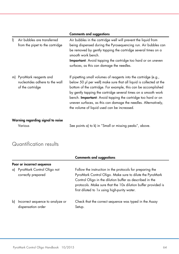<span id="page-63-0"></span>

|    |                                                                             | <b>Comments and suggestions</b>                                                                                                                                                                                                                                                                                                                                                                                                                                       |
|----|-----------------------------------------------------------------------------|-----------------------------------------------------------------------------------------------------------------------------------------------------------------------------------------------------------------------------------------------------------------------------------------------------------------------------------------------------------------------------------------------------------------------------------------------------------------------|
| I) | Air bubbles are transferred<br>from the pipet to the cartridge              | Air bubbles in the cartridge well will prevent the liquid from<br>being dispensed during the Pyrosequencing run. Air bubbles can<br>be removed by gently tapping the cartridge several times on a<br>smooth work bench.<br>Important: Avoid tapping the cartridge too hard or on uneven<br>surfaces, as this can damage the needles.                                                                                                                                  |
| m) | PyroMark reagents and<br>nucleotides adhere to the wall<br>of the cartridge | If pipetting small volumes of reagents into the cartridge (e.g.,<br>below 50 µl per well) make sure that all liquid is collected at the<br>bottom of the cartridge. For example, this can be accomplished<br>by gently tapping the cartridge several times on a smooth work<br>bench. <b>Important</b> : Avoid tapping the cartridge too hard or on<br>uneven surfaces, as this can damage the needles. Alternatively,<br>the volume of liquid used can be increased. |
|    | Warning regarding signal to noise                                           |                                                                                                                                                                                                                                                                                                                                                                                                                                                                       |

Various See points a) to k) in "Small or missing peaks", above.

## <span id="page-63-1"></span>Quantification results

|    |                                                        | <b>Comments and suggestions</b>                                                                                                                                                                                                                                                                    |
|----|--------------------------------------------------------|----------------------------------------------------------------------------------------------------------------------------------------------------------------------------------------------------------------------------------------------------------------------------------------------------|
|    | Poor or incorrect sequence                             |                                                                                                                                                                                                                                                                                                    |
|    | a) PyroMark Control Oligo not<br>correctly prepared    | Follow the instruction in the protocols for preparing the<br>PyroMark Control Oligo. Make sure to dilute the PyroMark<br>Control Oligo in the dilution buffer as described in the<br>protocols. Make sure that the 10x dilution buffer provided is<br>first diluted to 1x using high-purity water. |
| b) | Incorrect sequence to analyze or<br>dispensation order | Check that the correct sequence was typed in the Assay<br>Setup.                                                                                                                                                                                                                                   |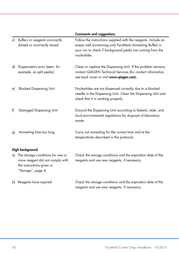<span id="page-64-0"></span>

|    |                                                                                                                          | <b>Comments and suggestions</b>                                                                                                                                                                          |
|----|--------------------------------------------------------------------------------------------------------------------------|----------------------------------------------------------------------------------------------------------------------------------------------------------------------------------------------------------|
| c) | Buffers or reagents incorrectly<br>diluted or incorrectly stored                                                         | Follow the instructions supplied with the reagents. Include an<br>empty well (containing only PyroMark Annealing Buffer) in<br>your run to check if background peaks are coming from the<br>nucleotides. |
| d) | Dispensation error (seen, for<br>example, as split peaks)                                                                | Clean or replace the Dispensing Unit. If the problem remains,<br>contact QIAGEN Technical Services (for contact information,<br>see back cover or visit www.qiagen.com).                                 |
| e) | <b>Blocked Dispensing Unit</b>                                                                                           | Nucleotides are not dispensed correctly due to a blocked<br>needle in the Dispensing Unit. Clean the Dispensing Unit and<br>check that it is working properly.                                           |
| f) | Damaged Dispensing Unit                                                                                                  | Discard the Dispensing Unit according to federal, state, and<br>local environmental regulations for disposal of laboratory<br>waste.                                                                     |
| g) | Annealing time too long                                                                                                  | Carry out annealing for the correct time and at the<br>temperatures described in the protocols.                                                                                                          |
|    | High background                                                                                                          |                                                                                                                                                                                                          |
| a) | The storage conditions for one or<br>more reagent did not comply with<br>the instructions given in<br>"Storage", page 4. | Check the storage conditions and the expiration date of the<br>reagents and use new reagents, if necessary.                                                                                              |
| b) | Reagents have expired                                                                                                    | Check the storage conditions and the expiration date of the<br>reagents and use new reagents, if necessary.                                                                                              |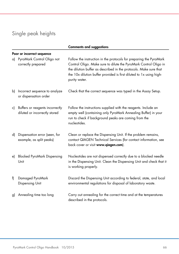# Single peak heights

|    |                                                                  | <b>Comments and suggestions</b>                                                                                                                                                                                                                                                                     |  |  |  |
|----|------------------------------------------------------------------|-----------------------------------------------------------------------------------------------------------------------------------------------------------------------------------------------------------------------------------------------------------------------------------------------------|--|--|--|
|    | Poor or incorrect sequence                                       |                                                                                                                                                                                                                                                                                                     |  |  |  |
| a) | PyroMark Control Oligo not<br>correctly prepared                 | Follow the instruction in the protocols for preparing the PyroMark<br>Control Oligo. Make sure to dilute the PyroMark Control Oligo in<br>the dilution buffer as described in the protocols. Make sure that<br>the 10x dilution buffer provided is first diluted to 1x using high-<br>purity water. |  |  |  |
| b) | Incorrect sequence to analyze<br>or dispensation order           | Check that the correct sequence was typed in the Assay Setup.                                                                                                                                                                                                                                       |  |  |  |
| c) | Buffers or reagents incorrectly<br>diluted or incorrectly stored | Follow the instructions supplied with the reagents. Include an<br>empty well (containing only PyroMark Annealing Buffer) in your<br>run to check if background peaks are coming from the<br>nucleotides.                                                                                            |  |  |  |
| d) | Dispensation error (seen, for<br>example, as split peaks)        | Clean or replace the Dispensing Unit. If the problem remains,<br>contact QIAGEN Technical Services (for contact information, see<br>back cover or visit www.qiagen.com).                                                                                                                            |  |  |  |
| e) | <b>Blocked PyroMark Dispensing</b><br>Unit                       | Nucleotides are not dispensed correctly due to a blocked needle<br>in the Dispensing Unit. Clean the Dispensing Unit and check that it<br>is working properly.                                                                                                                                      |  |  |  |
| f) | Damaged PyroMark<br>Dispensing Unit                              | Discard the Dispensing Unit according to federal, state, and local<br>environmental regulations for disposal of laboratory waste.                                                                                                                                                                   |  |  |  |
| g) | Annealing time too long                                          | Carry out annealing for the correct time and at the temperatures<br>described in the protocols.                                                                                                                                                                                                     |  |  |  |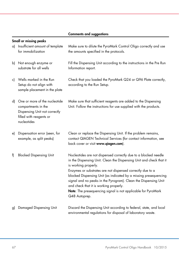#### Comments and suggestions

|    | Small or missing peaks<br>a) Insufficient amount of template<br>for immobilization                                              | Make sure to dilute the PyroMark Control Oligo correctly and use<br>the amounts specified in the protocols.                                                                                                                                                                                                                                                                                                                                                                                     |
|----|---------------------------------------------------------------------------------------------------------------------------------|-------------------------------------------------------------------------------------------------------------------------------------------------------------------------------------------------------------------------------------------------------------------------------------------------------------------------------------------------------------------------------------------------------------------------------------------------------------------------------------------------|
| b) | Not enough enzyme or<br>substrate for all wells                                                                                 | Fill the Dispensing Unit according to the instructions in the Pre Run<br>Information report.                                                                                                                                                                                                                                                                                                                                                                                                    |
| c) | Wells marked in the Run<br>Setup do not align with<br>sample placement in the plate                                             | Check that you loaded the PyroMark Q24 or Q96 Plate correctly,<br>according to the Run Setup.                                                                                                                                                                                                                                                                                                                                                                                                   |
| d) | One or more of the nucleotide<br>compartments in the<br>Dispensing Unit not correctly<br>filled with reagents or<br>nucleotides | Make sure that sufficient reagents are added to the Dispensing<br>Unit. Follow the instructions for use supplied with the products.                                                                                                                                                                                                                                                                                                                                                             |
| e) | Dispensation error (seen, for<br>example, as split peaks)                                                                       | Clean or replace the Dispensing Unit. If the problem remains,<br>contact QIAGEN Technical Services (for contact information, see<br>back cover or visit www.qiagen.com).                                                                                                                                                                                                                                                                                                                        |
| f) | <b>Blocked Dispensing Unit</b>                                                                                                  | Nucleotides are not dispensed correctly due to a blocked needle<br>in the Dispensing Unit. Clean the Dispensing Unit and check that it<br>is working properly.<br>Enzymes or substrates are not dispensed correctly due to a<br>blocked Dispensing Unit (as indicated by a missing presequencing<br>signal and no peaks in the Pyrogram). Clean the Dispensing Unit<br>and check that it is working properly.<br>Note: The presequencing signal is not applicable for PyroMark<br>Q48 Autoprep. |
| g) | Damaged Dispensing Unit                                                                                                         | Discard the Dispensing Unit according to federal, state, and local<br>environmental regulations for disposal of laboratory waste.                                                                                                                                                                                                                                                                                                                                                               |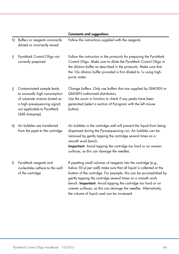|    |                                                                                                                                                                             | <b>Comments and suggestions</b>                                                                                                                                                                                                                                                                                                                                                                                                                               |
|----|-----------------------------------------------------------------------------------------------------------------------------------------------------------------------------|---------------------------------------------------------------------------------------------------------------------------------------------------------------------------------------------------------------------------------------------------------------------------------------------------------------------------------------------------------------------------------------------------------------------------------------------------------------|
| h) | Buffers or reagents incorrectly<br>diluted or incorrectly stored                                                                                                            | Follow the instructions supplied with the reagents.                                                                                                                                                                                                                                                                                                                                                                                                           |
| i) | PyroMark Control Oligo not<br>correctly prepared                                                                                                                            | Follow the instruction in the protocols for preparing the PyroMark<br>Control Oligo. Make sure to dilute the PyroMark Control Oligo in<br>the dilution buffer as described in the protocols. Make sure that<br>the 10x dilution buffer provided is first diluted to 1x using high-<br>purity water.                                                                                                                                                           |
| i) | Contaminated sample leads<br>to unusually high consumption<br>of substrate mixture (noted as<br>a high presequencing signal;<br>not applicable to PyroMark<br>Q48 Autoprep) | Change buffers. Only use buffers that are supplied by QIAGEN or<br><b>QIAGEN</b> authorized distributors.<br>Use the zoom in function to check if any peaks have been<br>generated (select a section of Pyrogram with the left mouse<br>button).                                                                                                                                                                                                              |
| k) | Air bubbles are transferred<br>from the pipet to the cartridge                                                                                                              | Air bubbles in the cartridge well will prevent the liquid from being<br>dispensed during the Pyrosequencing run. Air bubbles can be<br>removed by gently tapping the cartridge several times on a<br>smooth work bench.<br>Important: Avoid tapping the cartridge too hard or on uneven<br>surfaces, as this can damage the needles.                                                                                                                          |
| I) | PyroMark reagents and<br>nucleotides adhere to the wall<br>of the cartridge                                                                                                 | If pipetting small volumes of reagents into the cartridge (e.g.,<br>below 50 µl per well) make sure that all liquid is collected at the<br>bottom of the cartridge. For example, this can be accomplished by<br>gently tapping the cartridge several times on a smooth work<br>bench. Important: Avoid tapping the cartridge too hard or on<br>uneven surfaces, as this can damage the needles. Alternatively,<br>the volume of liquid used can be increased. |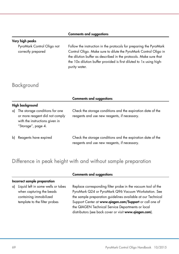#### Comments and suggestions

#### Very high peaks

PyroMark Control Oligo not correctly prepared

Follow the instruction in the protocols for preparing the PyroMark Control Oligo. Make sure to dilute the PyroMark Control Oligo in the dilution buffer as described in the protocols. Make sure that the 10x dilution buffer provided is first diluted to 1x using highpurity water.

## <span id="page-68-0"></span>Background

|                                                                                                                             | <b>Comments and suggestions</b>                                                                             |  |  |  |
|-----------------------------------------------------------------------------------------------------------------------------|-------------------------------------------------------------------------------------------------------------|--|--|--|
| High background                                                                                                             |                                                                                                             |  |  |  |
| a) The storage conditions for one<br>or more reagent did not comply<br>with the instructions given in<br>"Storage", page 4. | Check the storage conditions and the expiration date of the<br>reagents and use new reagents, if necessary. |  |  |  |
| b) Reagents have expired                                                                                                    | Check the storage conditions and the expiration date of the<br>reagents and use new reagents, if necessary. |  |  |  |

## <span id="page-68-1"></span>Difference in peak height with and without sample preparation

### Incorrect sample preparation

#### a) Liquid left in some wells or tubes when capturing the beads containing immobilized template to the filter probes

Comments and suggestions

Replace corresponding filter probe in the vacuum tool of the PyroMark Q24 or PyroMark Q96 Vacuum Workstation. See the sample preparation guidelines available at our Technical Support Center at www.qiagen.com/Support or call one of the QIAGEN Technical Service Departments or local distributors (see back cover or visit www.qiagen.com).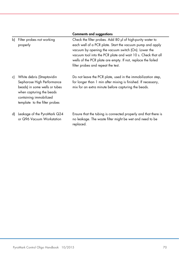|    |                                                                                                                                                                                  | <b>Comments and suggestions</b>                                                                                                                                                                                                                                                                                                                      |
|----|----------------------------------------------------------------------------------------------------------------------------------------------------------------------------------|------------------------------------------------------------------------------------------------------------------------------------------------------------------------------------------------------------------------------------------------------------------------------------------------------------------------------------------------------|
| b) | Filter probes not working<br>properly                                                                                                                                            | Check the filter probes. Add 80 µl of high-purity water to<br>each well of a PCR plate. Start the vacuum pump and apply<br>vacuum by opening the vacuum switch (On). Lower the<br>vacuum tool into the PCR plate and wait 10 s. Check that all<br>wells of the PCR plate are empty. If not, replace the failed<br>filter probes and repeat the test. |
| c) | White debris (Streptavidin<br>Sepharose High Performance<br>beads) in some wells or tubes<br>when capturing the beads<br>containing immobilized<br>template to the filter probes | Do not leave the PCR plate, used in the immobilization step,<br>for longer than 1 min after mixing is finished. If necessary,<br>mix for an extra minute before capturing the beads.                                                                                                                                                                 |
| d) | Leakage of the PyroMark Q24<br>or Q96 Vacuum Workstation                                                                                                                         | Ensure that the tubing is connected properly and that there is<br>no leakage. The waste filter might be wet and need to be<br>replaced.                                                                                                                                                                                                              |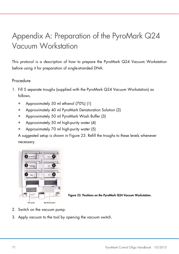# Appendix A: Preparation of the PyroMark Q24 Vacuum Workstation

This protocol is a description of how to prepare the PyroMark Q24 Vacuum Workstation before using it for preparation of single-stranded DNA.

### Procedure

- 1. Fill 5 separate troughs (supplied with the PyroMark Q24 Vacuum Workstation) as follows.
	- Approximately 50 ml ethanol (70%) (1)
	- Approximately 40 ml PyroMark Denaturation Solution (2)
	- Approximately 50 ml PyroMark Wash Buffer (3)
	- Approximately 50 ml high-purity water (4)
	- Approximately 70 ml high-purity water (5)

A suggested setup is shown in [Figure 23.](#page-70-0) Refill the troughs to these levels whenever necessary.



<span id="page-70-0"></span>

- 2. Switch on the vacuum pump.
- 3. Apply vacuum to the tool by opening the vacuum switch.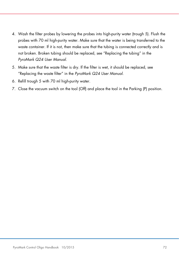- 4. Wash the filter probes by lowering the probes into high-purity water (trough 5). Flush the probes with 70 ml high-purity water. Make sure that the water is being transferred to the waste container. If it is not, then make sure that the tubing is connected correctly and is not broken. Broken tubing should be replaced, see "Replacing the tubing" in the *PyroMark Q24 User Manual*.
- 5. Make sure that the waste filter is dry. If the filter is wet, it should be replaced, see "Replacing the waste filter" in the *PyroMark Q24 User Manual*.
- 6. Refill trough 5 with 70 ml high-purity water.
- <span id="page-71-0"></span>7. Close the vacuum switch on the tool (Off) and place the tool in the Parking (P) position.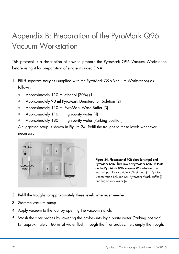# Appendix B: Preparation of the PyroMark Q96 Vacuum Workstation

This protocol is a description of how to prepare the PyroMark Q96 Vacuum Workstation before using it for preparation of single-stranded DNA.

- 1. Fill 5 separate troughs (supplied with the PyroMark Q96 Vacuum Workstation) as follows.
	- Approximately 110 ml ethanol (70%) (1)
	- Approximately 90 ml PyroMark Denaturation Solution (2)
	- Approximately 110 ml PyroMark Wash Buffer (3)
	- Approximately 110 ml high-purity water (4)
	- Approximately 180 ml high-purity water (Parking position)

A suggested setup is shown in [Figure 24.](#page-72-0) Refill the troughs to these levels whenever necessary.



<span id="page-72-0"></span>Figure 24. Placement of PCR plate (or strips) and PyroMark Q96 Plate Low or PyroMark Q96 HS Plate on the PyroMark Q96 Vacuum Workstation. The marked positions contain 70% ethanol (1), PyroMark Denaturation Solution (2), PyroMark Wash Buffer (3), and high-purity water (4).

- 2. Refill the troughs to approximately these levels whenever needed.
- 3. Start the vacuum pump.
- 4. Apply vacuum to the tool by opening the vacuum switch.
- 5. Wash the filter probes by lowering the probes into high purity water (Parking position). Let approximately 180 ml of water flush through the filter probes, i.e., empty the trough.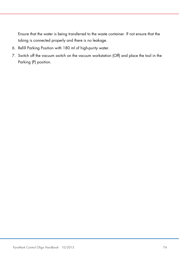Ensure that the water is being transferred to the waste container. If not ensure that the tubing is connected properly and there is no leakage.

- 6. Refill Parking Position with 180 ml of high-purity water.
- 7. Switch off the vacuum switch on the vacuum workstation (Off) and place the tool in the Parking (P) position.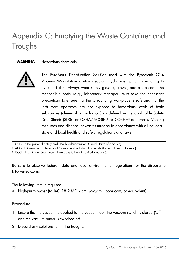# Appendix C: Emptying the Waste Container and Troughs

WARNING | Hazardous chemicals

The PyroMark Denaturation Solution used with the PyroMark Q24 Vacuum Workstation contains sodium hydroxide, which is irritating to eyes and skin. Always wear safety glasses, gloves, and a lab coat. The responsible body (e.g., laboratory manager) must take the necessary precautions to ensure that the surrounding workplace is safe and that the instrument operators are not exposed to hazardous levels of toxic substances (chemical or biological) as defined in the applicable Safety Data Sheets (SDSs) or OSHA,\*ACGIH,<sup>†</sup> or COSHH<sup>‡</sup> documents. Venting for fumes and disposal of wastes must be in accordance with all national, state and local health and safety regulations and laws.

OSHA: Occupational Safety and Health Administration (United States of America).

† ACGIH: American Conference of Government Industrial Hygienists (United States of America).

‡ COSHH: control of Substances Hazardous to Health (United Kingdom).

Be sure to observe federal, state and local environmental regulations for the disposal of laboratory waste.

The following item is required:

High-purity water (Milli-Q 18.2 MΩ x cm, www.millipore.com, or equivalent).

### Procedure

- 1. Ensure that no vacuum is applied to the vacuum tool, the vacuum switch is closed (Off), and the vacuum pump is switched off.
- 2. Discard any solutions left in the troughs.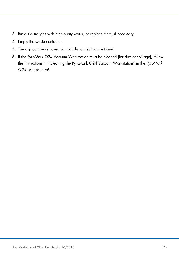- 3. Rinse the troughs with high-purity water, or replace them, if necessary.
- 4. Empty the waste container.
- 5. The cap can be removed without disconnecting the tubing.
- 6. If the PyroMark Q24 Vacuum Workstation must be cleaned (for dust or spillage), follow the instructions in "Cleaning the PyroMark Q24 Vacuum Workstation" in the *PyroMark Q24 User Manual*.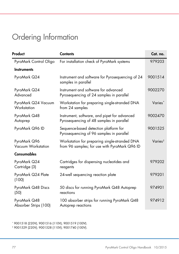# Ordering Information

| Product                               | <b>Contents</b>                                                                                | Cat. no.            |
|---------------------------------------|------------------------------------------------------------------------------------------------|---------------------|
| PyroMark Control Oligo                | For installation check of PyroMark systems                                                     | 979203              |
| <b>Instruments</b>                    |                                                                                                |                     |
| PyroMark Q24                          | Instrument and software for Pyrosequencing of 24<br>samples in parallel                        | 9001514             |
| PyroMark Q24<br>Advanced              | Instrument and software for advanced<br>Pyrosequencing of 24 samples in parallel               | 9002270             |
| PyroMark Q24 Vacuum<br>Workstation    | Workstation for preparing single-stranded DNA<br>from 24 samples                               | Varies*             |
| PyroMark Q48<br>Autoprep              | Instrument, software, and pipet for advanced<br>Pyrosequencing of 48 samples in parallel       | 9002470             |
| PyroMark Q96 ID                       | Sequence-based detection platform for<br>Pyrosequencing of 96 samples in parallel              | 9001525             |
| PyroMark Q96<br>Vacuum Workstation    | Workstation for preparing single-stranded DNA<br>from 96 samples; for use with PyroMark Q96 ID | Varies <sup>†</sup> |
| Consumables                           |                                                                                                |                     |
| PyroMark Q24<br>Cartridge (3)         | Cartridges for dispensing nucleotides and<br>reagents                                          | 979202              |
| PyroMark Q24 Plate<br>(100)           | 24-well sequencing reaction plate                                                              | 979201              |
| PyroMark Q48 Discs<br>(50)            | 50 discs for running PyroMark Q48 Autoprep<br>reactions                                        | 974901              |
| PyroMark Q48<br>Absorber Strips (100) | 100 absorber strips for running PyroMark Q48<br>Autoprep reactions                             | 974912              |

<span id="page-76-0"></span>\* 9001518 (220V); 9001516 (110V); 9001519 (100V).

<span id="page-76-1"></span><sup>†</sup> 9001529 (220V); 9001528 (110V); 9001740 (100V).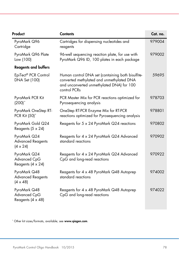| Product                                                     | <b>Contents</b>                                                                                                                                             | Cat. no. |
|-------------------------------------------------------------|-------------------------------------------------------------------------------------------------------------------------------------------------------------|----------|
| PyroMark Q96<br>Cartridge                                   | Cartridges for dispensing nucleotides and<br>reagents                                                                                                       | 979004   |
| PyroMark Q96 Plate<br>Low (100)                             | 96-well sequencing reaction plate, for use with<br>PyroMark Q96 ID, 100 plates in each package                                                              | 979002   |
| <b>Reagents and buffers</b>                                 |                                                                                                                                                             |          |
| EpiTect® PCR Control<br>DNA Set (100)                       | Human control DNA set (containing both bisulfite-<br>converted methylated and unmethylated DNA<br>and unconverted unmethylated DNA) for 100<br>control PCRs | 59695    |
| PyroMark PCR Kit<br>$(200)^*$                               | PCR Master Mix for PCR reactions optimized for<br>Pyrosequencing analysis                                                                                   | 978703   |
| PyroMark OneStep RT-<br>PCR Kit (50)*                       | OneStep RT-PCR Enzyme Mix for RT-PCR<br>reactions optimized for Pyrosequencing analysis                                                                     | 978801   |
| PyroMark Gold Q24<br>Reagents (5 x 24)                      | Reagents for 5 x 24 PyroMark Q24 reactions                                                                                                                  | 970802   |
| PyroMark Q24<br><b>Advanced Reagents</b><br>$(4 \times 24)$ | Reagents for 4 x 24 PyroMark Q24 Advanced<br>standard reactions                                                                                             | 970902   |
| PyroMark Q24<br>Advanced CpG<br>Reagents (4 x 24)           | Reagents for 4 x 24 PyroMark Q24 Advanced<br>CpG and long-read reactions                                                                                    | 970922   |
| PyroMark Q48<br><b>Advanced Reagents</b><br>$(4 \times 48)$ | Reagents for 4 x 48 PyroMark Q48 Autoprep<br>standard reactions                                                                                             | 974002   |
| PyroMark Q48<br>Advanced CpG<br>Reagents (4 x 48)           | Reagents for 4 x 48 PyroMark Q48 Autoprep<br>CpG and long-read reactions                                                                                    | 974022   |

<span id="page-77-0"></span>\* Other kit sizes/formats, available; see www.qiagen.com.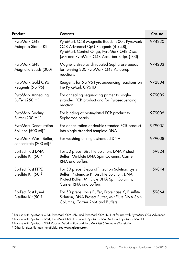| Product                                                     | <b>Contents</b>                                                                                                                                                                  | Cat. no. |
|-------------------------------------------------------------|----------------------------------------------------------------------------------------------------------------------------------------------------------------------------------|----------|
| PyroMark Q48<br>Autoprep Starter Kit                        | PyroMark Q48 Magnetic Beads (300), PyroMark<br>Q48 Advanced CpG Reagents (4 x 48),<br>PyroMark Control Oligo, PyroMark Q48 Discs<br>(50) and PyroMark Q48 Absorber Strips (100)  | 974230   |
| PyroMark Q48<br>Magnetic Beads (300)                        | Magnetic streptavidin-coated Sepharose beads<br>for running 300 PyroMark Q48 Autoprep<br>reactions                                                                               | 974203   |
| PyroMark Gold Q96<br>Reagents (5 x 96)                      | Reagents for 5 x 96 Pyrosequencing reactions on<br>the PyroMark Q96 ID                                                                                                           | 972804   |
| PyroMark Annealing<br>Buffer (250 ml)                       | For annealing sequencing primer to single-<br>stranded PCR product and for Pyrosequencing<br>reaction                                                                            | 979009   |
| PyroMark Binding<br>Buffer (200 ml)*                        | For binding of biotinylated PCR product to<br>Sepharose beads                                                                                                                    | 979006   |
| PyroMark Denaturation<br>Solution (500 ml) <sup>t</sup>     | For denaturation of double-stranded PCR product<br>into single-stranded template DNA                                                                                             | 979007   |
| PyroMark Wash Buffer,<br>concentrate (200 ml) <sup>‡</sup>  | For washing of single-stranded DNA                                                                                                                                               | 979008   |
| EpiTect Fast DNA<br>Bisulfite Kit (50) <sup>§</sup>         | For 50 preps: Bisulfite Solution, DNA Protect<br>Buffer, MinElute DNA Spin Columns, Carrier<br><b>RNA and Buffers</b>                                                            | 59824    |
| <b>EpiTect Fast FFPE</b><br>Bisulfite Kit (50) <sup>§</sup> | For 50 preps: Deparaffinization Solution, Lysis<br>Buffer, Proteinase K, Bisulfite Solution, DNA<br>Protect Buffer, MinElute DNA Spin Columns,<br><b>Carrier RNA and Buffers</b> | 59844    |
| EpiTect Fast LyseAll<br>Bisulfite Kit (50) <sup>§</sup>     | For 50 preps: Lysis Buffer, Proteinase K, Bisulfite<br>Solution, DNA Protect Buffer, MinElute DNA Spin<br>Columns, Carrier RNA and Buffers                                       | 59864    |

<span id="page-78-0"></span><sup>\*</sup> For use with PyroMark Q24, PyroMark Q96 MD, and PyroMark Q96 ID. Not for use with PyroMark Q24 Advanced.

<span id="page-78-1"></span><sup>†</sup> For use with PyroMark Q24, PyroMark Q24 Advanced, PyroMark Q96 MD, and PyroMark Q96 ID.

<span id="page-78-2"></span><sup>‡</sup> For use with PyroMark Q24 Vacuum Workstation and PyroMark Q96 Vacuum Workstation.

<span id="page-78-3"></span><sup>§</sup> Other kit sizes/formats, available; see www.qiagen.com.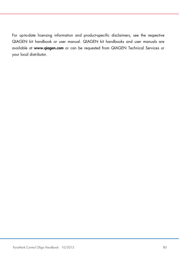For up-to-date licensing information and product-specific disclaimers, see the respective QIAGEN kit handbook or user manual. QIAGEN kit handbooks and user manuals are available at www.qiagen.com or can be requested from QIAGEN Technical Services or your local distributor.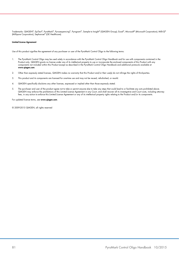Trademarks: QIAGEN®, EpiTect®, PyroMark®, Pyrosequencing®, Pyrogram®, Sample to Insight® (QIAGEN Group); Excel®, Microsoft® (Microsoft Corporation); Milli-Q® (Millipore Corporation); Sepharose® (GE Healthcare).

#### Limited License Agreement

Use of this product signifies the agreement of any purchaser or user of the PyroMark Control Oligo to the following terms:

- 1. The PyroMark Control Oligo may be used solely in accordance with the PyroMark Control Oligo Handbook and for use with components contained in the Product only. QIAGEN grants no license under any ot its intellectual property to use or incorporate the enclosed components ot this Product with any<br>components not included within this Product except as described in the Py www.qiagen.com.
- 2. Other than expressly stated licenses, QIAGEN makes no warranty that this Product and/or their use(s) do not infringe the rights of third-parties.
- 3. This product and its components are licensed for one-time use and may not be reused, refurbished, or resold.
- 4. QIAGEN specifically disclaims any other licenses, expressed or implied other than those expressly stated.
- 5. The purchaser and user of the product agree not to take or permit anyone else to take any steps that could lead to or facilitate any acts prohibited above. QIAGEN may enforce the prohibitions of this Limited License Agreement in any Court, and shall recover all its investigative and Court costs, including attorney fees, in any action to enforce this Limited License Agreement or any of its intellectual property rights relating to the Product and/or its components.

For updated license terms, see www.qiagen.com.

© 2009-2015 QIAGEN, all rights reserved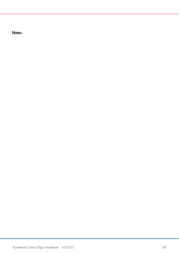**Notes**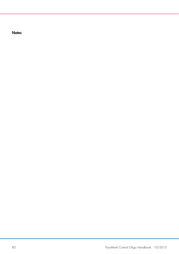**Notes**